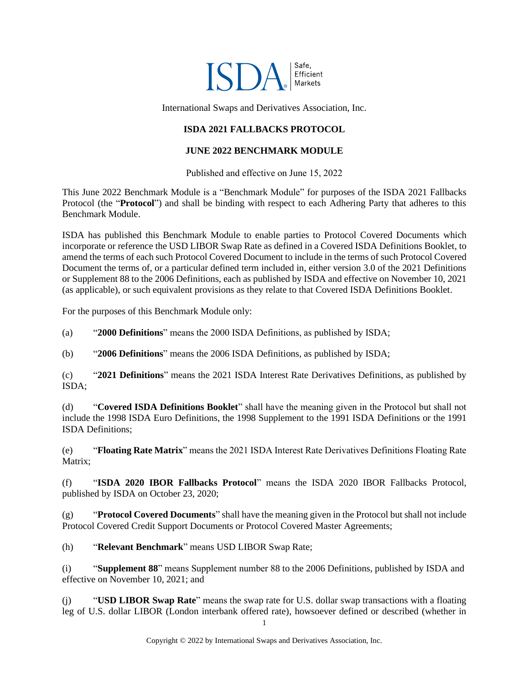

International Swaps and Derivatives Association, Inc.

## **ISDA 2021 FALLBACKS PROTOCOL**

#### **JUNE 2022 BENCHMARK MODULE**

Published and effective on June 15, 2022

This June 2022 Benchmark Module is a "Benchmark Module" for purposes of the ISDA 2021 Fallbacks Protocol (the "**Protocol**") and shall be binding with respect to each Adhering Party that adheres to this Benchmark Module.

ISDA has published this Benchmark Module to enable parties to Protocol Covered Documents which incorporate or reference the USD LIBOR Swap Rate as defined in a Covered ISDA Definitions Booklet, to amend the terms of each such Protocol Covered Document to include in the terms of such Protocol Covered Document the terms of, or a particular defined term included in, either version 3.0 of the 2021 Definitions or Supplement 88 to the 2006 Definitions, each as published by ISDA and effective on November 10, 2021 (as applicable), or such equivalent provisions as they relate to that Covered ISDA Definitions Booklet.

For the purposes of this Benchmark Module only:

(a) "**2000 Definitions**" means the 2000 ISDA Definitions, as published by ISDA;

(b) "**2006 Definitions**" means the 2006 ISDA Definitions, as published by ISDA;

(c) "**2021 Definitions**" means the 2021 ISDA Interest Rate Derivatives Definitions, as published by ISDA;

(d) "**Covered ISDA Definitions Booklet**" shall have the meaning given in the Protocol but shall not include the 1998 ISDA Euro Definitions, the 1998 Supplement to the 1991 ISDA Definitions or the 1991 ISDA Definitions;

(e) "**Floating Rate Matrix**" means the 2021 ISDA Interest Rate Derivatives Definitions Floating Rate Matrix;

(f) "**ISDA 2020 IBOR Fallbacks Protocol**" means the ISDA 2020 IBOR Fallbacks Protocol, published by ISDA on October 23, 2020;

(g) "**Protocol Covered Documents**" shall have the meaning given in the Protocol but shall not include Protocol Covered Credit Support Documents or Protocol Covered Master Agreements;

(h) "**Relevant Benchmark**" means USD LIBOR Swap Rate;

(i) "**Supplement 88**" means Supplement number 88 to the 2006 Definitions, published by ISDA and effective on November 10, 2021; and

(j) "**USD LIBOR Swap Rate**" means the swap rate for U.S. dollar swap transactions with a floating leg of U.S. dollar LIBOR (London interbank offered rate), howsoever defined or described (whether in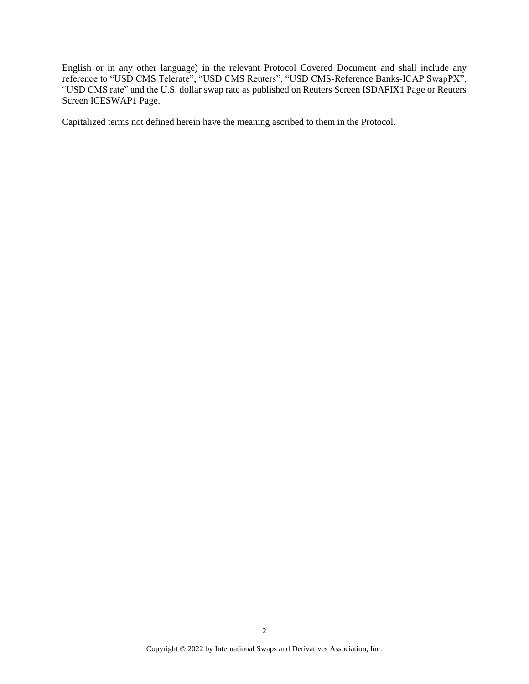English or in any other language) in the relevant Protocol Covered Document and shall include any reference to "USD CMS Telerate", "USD CMS Reuters", "USD CMS-Reference Banks-ICAP SwapPX", "USD CMS rate" and the U.S. dollar swap rate as published on Reuters Screen ISDAFIX1 Page or Reuters Screen ICESWAP1 Page.

Capitalized terms not defined herein have the meaning ascribed to them in the Protocol.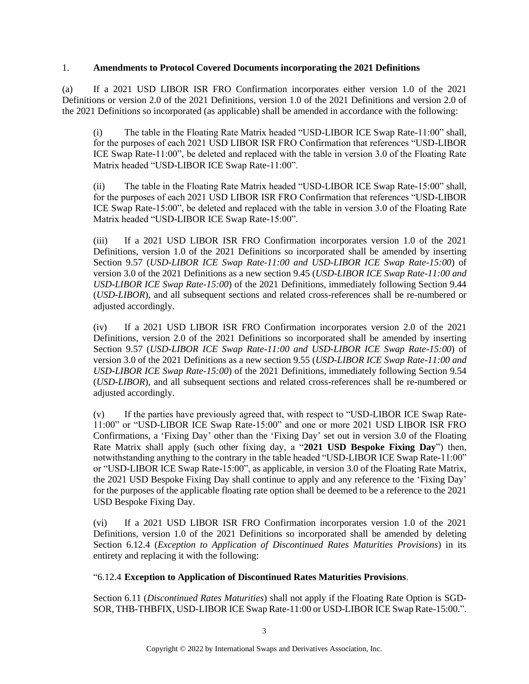#### 1. **Amendments to Protocol Covered Documents incorporating the 2021 Definitions**

(a) If a 2021 USD LIBOR ISR FRO Confirmation incorporates either version 1.0 of the 2021 Definitions or version 2.0 of the 2021 Definitions, version 1.0 of the 2021 Definitions and version 2.0 of the 2021 Definitions so incorporated (as applicable) shall be amended in accordance with the following:

(i) The table in the Floating Rate Matrix headed "USD-LIBOR ICE Swap Rate-11:00" shall, for the purposes of each 2021 USD LIBOR ISR FRO Confirmation that references "USD-LIBOR ICE Swap Rate-11:00", be deleted and replaced with the table in version 3.0 of the Floating Rate Matrix headed "USD-LIBOR ICE Swap Rate-11:00".

(ii) The table in the Floating Rate Matrix headed "USD-LIBOR ICE Swap Rate-15:00" shall, for the purposes of each 2021 USD LIBOR ISR FRO Confirmation that references "USD-LIBOR ICE Swap Rate-15:00", be deleted and replaced with the table in version 3.0 of the Floating Rate Matrix headed "USD-LIBOR ICE Swap Rate-15:00".

(iii) If a 2021 USD LIBOR ISR FRO Confirmation incorporates version 1.0 of the 2021 Definitions, version 1.0 of the 2021 Definitions so incorporated shall be amended by inserting Section 9.57 (*USD-LIBOR ICE Swap Rate-11:00 and USD-LIBOR ICE Swap Rate-15:00*) of version 3.0 of the 2021 Definitions as a new section 9.45 (*USD-LIBOR ICE Swap Rate-11:00 and USD-LIBOR ICE Swap Rate-15:00*) of the 2021 Definitions, immediately following Section 9.44 (*USD-LIBOR*), and all subsequent sections and related cross-references shall be re-numbered or adjusted accordingly.

(iv) If a 2021 USD LIBOR ISR FRO Confirmation incorporates version 2.0 of the 2021 Definitions, version 2.0 of the 2021 Definitions so incorporated shall be amended by inserting Section 9.57 (*USD-LIBOR ICE Swap Rate-11:00 and USD-LIBOR ICE Swap Rate-15:00*) of version 3.0 of the 2021 Definitions as a new section 9.55 (*USD-LIBOR ICE Swap Rate-11:00 and USD-LIBOR ICE Swap Rate-15:00*) of the 2021 Definitions, immediately following Section 9.54 (*USD-LIBOR*), and all subsequent sections and related cross-references shall be re-numbered or adjusted accordingly.

(v) If the parties have previously agreed that, with respect to "USD-LIBOR ICE Swap Rate-11:00" or "USD-LIBOR ICE Swap Rate-15:00" and one or more 2021 USD LIBOR ISR FRO Confirmations, a 'Fixing Day' other than the 'Fixing Day' set out in version 3.0 of the Floating Rate Matrix shall apply (such other fixing day, a "**2021 USD Bespoke Fixing Day**") then, notwithstanding anything to the contrary in the table headed "USD-LIBOR ICE Swap Rate-11:00" or "USD-LIBOR ICE Swap Rate-15:00", as applicable, in version 3.0 of the Floating Rate Matrix, the 2021 USD Bespoke Fixing Day shall continue to apply and any reference to the 'Fixing Day' for the purposes of the applicable floating rate option shall be deemed to be a reference to the 2021 USD Bespoke Fixing Day.

(vi) If a 2021 USD LIBOR ISR FRO Confirmation incorporates version 1.0 of the 2021 Definitions, version 1.0 of the 2021 Definitions so incorporated shall be amended by deleting Section 6.12.4 (*Exception to Application of Discontinued Rates Maturities Provisions*) in its entirety and replacing it with the following:

## "6.12.4 **Exception to Application of Discontinued Rates Maturities Provisions**.

Section 6.11 (*Discontinued Rates Maturities*) shall not apply if the Floating Rate Option is SGD-SOR, THB-THBFIX, USD-LIBOR ICE Swap Rate-11:00 or USD-LIBOR ICE Swap Rate-15:00.".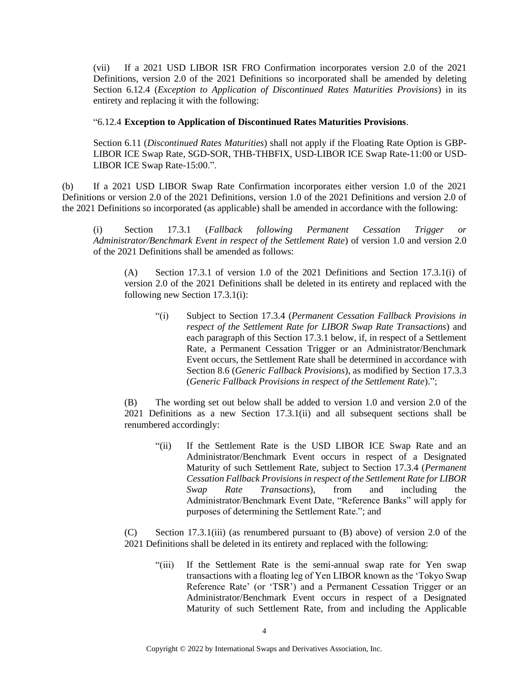(vii) If a 2021 USD LIBOR ISR FRO Confirmation incorporates version 2.0 of the 2021 Definitions, version 2.0 of the 2021 Definitions so incorporated shall be amended by deleting Section 6.12.4 (*Exception to Application of Discontinued Rates Maturities Provisions*) in its entirety and replacing it with the following:

#### "6.12.4 **Exception to Application of Discontinued Rates Maturities Provisions**.

Section 6.11 (*Discontinued Rates Maturities*) shall not apply if the Floating Rate Option is GBP-LIBOR ICE Swap Rate, SGD-SOR, THB-THBFIX, USD-LIBOR ICE Swap Rate-11:00 or USD-LIBOR ICE Swap Rate-15:00.".

(b) If a 2021 USD LIBOR Swap Rate Confirmation incorporates either version 1.0 of the 2021 Definitions or version 2.0 of the 2021 Definitions, version 1.0 of the 2021 Definitions and version 2.0 of the 2021 Definitions so incorporated (as applicable) shall be amended in accordance with the following:

(i) Section 17.3.1 (*Fallback following Permanent Cessation Trigger or Administrator/Benchmark Event in respect of the Settlement Rate*) of version 1.0 and version 2.0 of the 2021 Definitions shall be amended as follows:

(A) Section 17.3.1 of version 1.0 of the 2021 Definitions and Section 17.3.1(i) of version 2.0 of the 2021 Definitions shall be deleted in its entirety and replaced with the following new Section 17.3.1(i):

"(i) Subject to Section 17.3.4 (*Permanent Cessation Fallback Provisions in respect of the Settlement Rate for LIBOR Swap Rate Transactions*) and each paragraph of this Section 17.3.1 below, if, in respect of a Settlement Rate, a Permanent Cessation Trigger or an Administrator/Benchmark Event occurs, the Settlement Rate shall be determined in accordance with Section 8.6 (*Generic Fallback Provisions*), as modified by Section 17.3.3 (*Generic Fallback Provisions in respect of the Settlement Rate*).";

(B) The wording set out below shall be added to version 1.0 and version 2.0 of the 2021 Definitions as a new Section 17.3.1(ii) and all subsequent sections shall be renumbered accordingly:

"(ii) If the Settlement Rate is the USD LIBOR ICE Swap Rate and an Administrator/Benchmark Event occurs in respect of a Designated Maturity of such Settlement Rate, subject to Section 17.3.4 (*Permanent Cessation Fallback Provisions in respect of the Settlement Rate for LIBOR Swap Rate Transactions*), from and including the Administrator/Benchmark Event Date, "Reference Banks" will apply for purposes of determining the Settlement Rate."; and

(C) Section 17.3.1(iii) (as renumbered pursuant to (B) above) of version 2.0 of the 2021 Definitions shall be deleted in its entirety and replaced with the following:

"(iii) If the Settlement Rate is the semi-annual swap rate for Yen swap transactions with a floating leg of Yen LIBOR known as the 'Tokyo Swap Reference Rate' (or 'TSR') and a Permanent Cessation Trigger or an Administrator/Benchmark Event occurs in respect of a Designated Maturity of such Settlement Rate, from and including the Applicable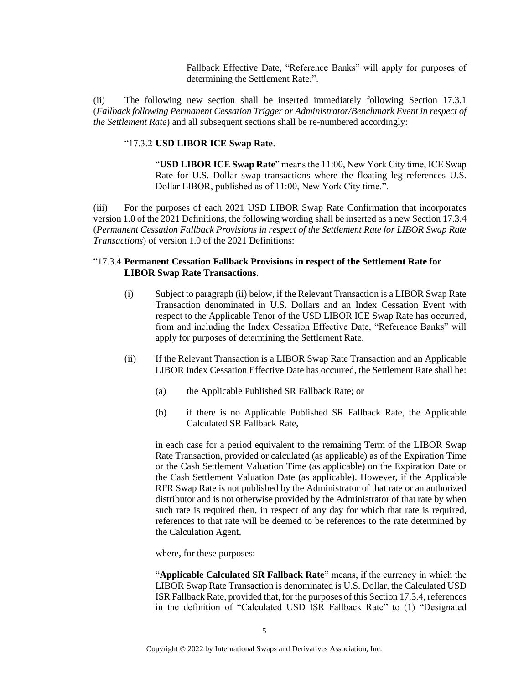Fallback Effective Date, "Reference Banks" will apply for purposes of determining the Settlement Rate.".

(ii) The following new section shall be inserted immediately following Section 17.3.1 (*Fallback following Permanent Cessation Trigger or Administrator/Benchmark Event in respect of the Settlement Rate*) and all subsequent sections shall be re-numbered accordingly:

#### "17.3.2 **USD LIBOR ICE Swap Rate**.

"**USD LIBOR ICE Swap Rate**" means the 11:00, New York City time, ICE Swap Rate for U.S. Dollar swap transactions where the floating leg references U.S. Dollar LIBOR, published as of 11:00, New York City time.".

(iii) For the purposes of each 2021 USD LIBOR Swap Rate Confirmation that incorporates version 1.0 of the 2021 Definitions, the following wording shall be inserted as a new Section 17.3.4 (*Permanent Cessation Fallback Provisions in respect of the Settlement Rate for LIBOR Swap Rate Transactions*) of version 1.0 of the 2021 Definitions:

#### "17.3.4 **Permanent Cessation Fallback Provisions in respect of the Settlement Rate for LIBOR Swap Rate Transactions**.

- (i) Subject to paragraph (ii) below, if the Relevant Transaction is a LIBOR Swap Rate Transaction denominated in U.S. Dollars and an Index Cessation Event with respect to the Applicable Tenor of the USD LIBOR ICE Swap Rate has occurred, from and including the Index Cessation Effective Date, "Reference Banks" will apply for purposes of determining the Settlement Rate.
- (ii) If the Relevant Transaction is a LIBOR Swap Rate Transaction and an Applicable LIBOR Index Cessation Effective Date has occurred, the Settlement Rate shall be:
	- (a) the Applicable Published SR Fallback Rate; or
	- (b) if there is no Applicable Published SR Fallback Rate, the Applicable Calculated SR Fallback Rate,

in each case for a period equivalent to the remaining Term of the LIBOR Swap Rate Transaction, provided or calculated (as applicable) as of the Expiration Time or the Cash Settlement Valuation Time (as applicable) on the Expiration Date or the Cash Settlement Valuation Date (as applicable). However, if the Applicable RFR Swap Rate is not published by the Administrator of that rate or an authorized distributor and is not otherwise provided by the Administrator of that rate by when such rate is required then, in respect of any day for which that rate is required, references to that rate will be deemed to be references to the rate determined by the Calculation Agent,

where, for these purposes:

"**Applicable Calculated SR Fallback Rate**" means, if the currency in which the LIBOR Swap Rate Transaction is denominated is U.S. Dollar, the Calculated USD ISR Fallback Rate, provided that, for the purposes of this Section 17.3.4, references in the definition of "Calculated USD ISR Fallback Rate" to (1) "Designated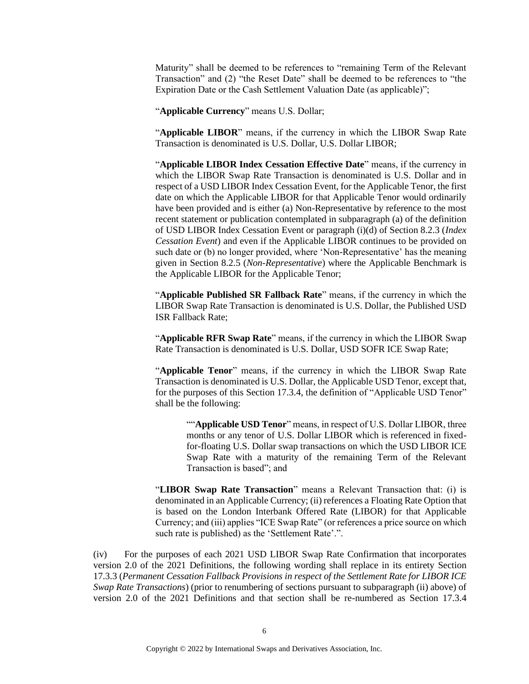Maturity" shall be deemed to be references to "remaining Term of the Relevant Transaction" and (2) "the Reset Date" shall be deemed to be references to "the Expiration Date or the Cash Settlement Valuation Date (as applicable)";

"**Applicable Currency**" means U.S. Dollar;

"**Applicable LIBOR**" means, if the currency in which the LIBOR Swap Rate Transaction is denominated is U.S. Dollar, U.S. Dollar LIBOR;

"**Applicable LIBOR Index Cessation Effective Date**" means, if the currency in which the LIBOR Swap Rate Transaction is denominated is U.S. Dollar and in respect of a USD LIBOR Index Cessation Event, for the Applicable Tenor, the first date on which the Applicable LIBOR for that Applicable Tenor would ordinarily have been provided and is either (a) Non-Representative by reference to the most recent statement or publication contemplated in subparagraph (a) of the definition of USD LIBOR Index Cessation Event or paragraph (i)(d) of Section 8.2.3 (*Index Cessation Event*) and even if the Applicable LIBOR continues to be provided on such date or (b) no longer provided, where 'Non-Representative' has the meaning given in Section 8.2.5 (*Non-Representative*) where the Applicable Benchmark is the Applicable LIBOR for the Applicable Tenor;

"**Applicable Published SR Fallback Rate**" means, if the currency in which the LIBOR Swap Rate Transaction is denominated is U.S. Dollar, the Published USD ISR Fallback Rate;

"**Applicable RFR Swap Rate**" means, if the currency in which the LIBOR Swap Rate Transaction is denominated is U.S. Dollar, USD SOFR ICE Swap Rate;

"**Applicable Tenor**" means, if the currency in which the LIBOR Swap Rate Transaction is denominated is U.S. Dollar, the Applicable USD Tenor, except that, for the purposes of this Section 17.3.4, the definition of "Applicable USD Tenor" shall be the following:

""Applicable USD Tenor" means, in respect of U.S. Dollar LIBOR, three months or any tenor of U.S. Dollar LIBOR which is referenced in fixedfor-floating U.S. Dollar swap transactions on which the USD LIBOR ICE Swap Rate with a maturity of the remaining Term of the Relevant Transaction is based"; and

"**LIBOR Swap Rate Transaction**" means a Relevant Transaction that: (i) is denominated in an Applicable Currency; (ii) references a Floating Rate Option that is based on the London Interbank Offered Rate (LIBOR) for that Applicable Currency; and (iii) applies "ICE Swap Rate" (or references a price source on which such rate is published) as the 'Settlement Rate'.".

(iv) For the purposes of each 2021 USD LIBOR Swap Rate Confirmation that incorporates version 2.0 of the 2021 Definitions, the following wording shall replace in its entirety Section 17.3.3 (*Permanent Cessation Fallback Provisions in respect of the Settlement Rate for LIBOR ICE Swap Rate Transactions*) (prior to renumbering of sections pursuant to subparagraph (ii) above) of version 2.0 of the 2021 Definitions and that section shall be re-numbered as Section 17.3.4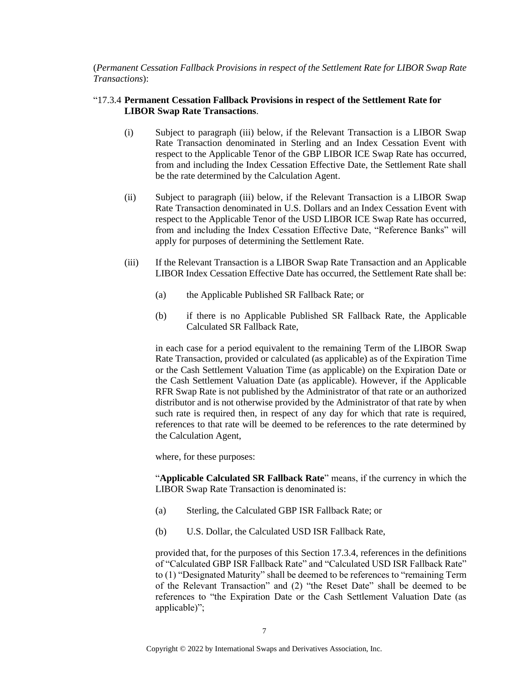(*Permanent Cessation Fallback Provisions in respect of the Settlement Rate for LIBOR Swap Rate Transactions*):

#### "17.3.4 **Permanent Cessation Fallback Provisions in respect of the Settlement Rate for LIBOR Swap Rate Transactions**.

- (i) Subject to paragraph (iii) below, if the Relevant Transaction is a LIBOR Swap Rate Transaction denominated in Sterling and an Index Cessation Event with respect to the Applicable Tenor of the GBP LIBOR ICE Swap Rate has occurred, from and including the Index Cessation Effective Date, the Settlement Rate shall be the rate determined by the Calculation Agent.
- (ii) Subject to paragraph (iii) below, if the Relevant Transaction is a LIBOR Swap Rate Transaction denominated in U.S. Dollars and an Index Cessation Event with respect to the Applicable Tenor of the USD LIBOR ICE Swap Rate has occurred, from and including the Index Cessation Effective Date, "Reference Banks" will apply for purposes of determining the Settlement Rate.
- (iii) If the Relevant Transaction is a LIBOR Swap Rate Transaction and an Applicable LIBOR Index Cessation Effective Date has occurred, the Settlement Rate shall be:
	- (a) the Applicable Published SR Fallback Rate; or
	- (b) if there is no Applicable Published SR Fallback Rate, the Applicable Calculated SR Fallback Rate,

in each case for a period equivalent to the remaining Term of the LIBOR Swap Rate Transaction, provided or calculated (as applicable) as of the Expiration Time or the Cash Settlement Valuation Time (as applicable) on the Expiration Date or the Cash Settlement Valuation Date (as applicable). However, if the Applicable RFR Swap Rate is not published by the Administrator of that rate or an authorized distributor and is not otherwise provided by the Administrator of that rate by when such rate is required then, in respect of any day for which that rate is required, references to that rate will be deemed to be references to the rate determined by the Calculation Agent,

where, for these purposes:

"**Applicable Calculated SR Fallback Rate**" means, if the currency in which the LIBOR Swap Rate Transaction is denominated is:

- (a) Sterling, the Calculated GBP ISR Fallback Rate; or
- (b) U.S. Dollar, the Calculated USD ISR Fallback Rate,

provided that, for the purposes of this Section 17.3.4, references in the definitions of "Calculated GBP ISR Fallback Rate" and "Calculated USD ISR Fallback Rate" to (1) "Designated Maturity" shall be deemed to be references to "remaining Term of the Relevant Transaction" and (2) "the Reset Date" shall be deemed to be references to "the Expiration Date or the Cash Settlement Valuation Date (as applicable)";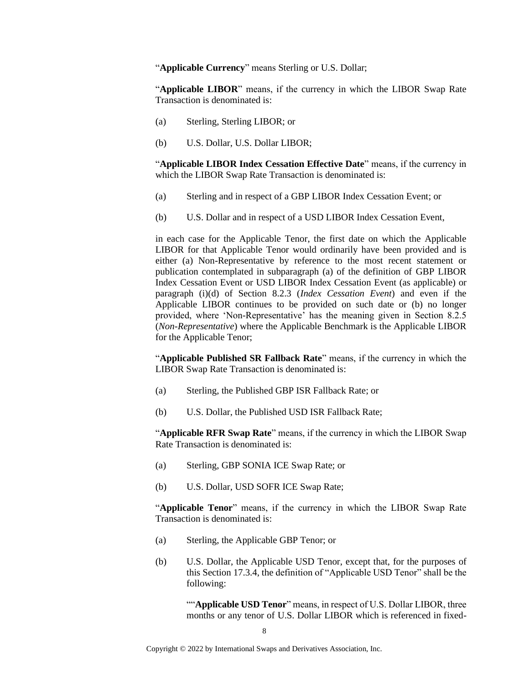"**Applicable Currency**" means Sterling or U.S. Dollar;

"**Applicable LIBOR**" means, if the currency in which the LIBOR Swap Rate Transaction is denominated is:

- (a) Sterling, Sterling LIBOR; or
- (b) U.S. Dollar, U.S. Dollar LIBOR;

"**Applicable LIBOR Index Cessation Effective Date**" means, if the currency in which the LIBOR Swap Rate Transaction is denominated is:

- (a) Sterling and in respect of a GBP LIBOR Index Cessation Event; or
- (b) U.S. Dollar and in respect of a USD LIBOR Index Cessation Event,

in each case for the Applicable Tenor, the first date on which the Applicable LIBOR for that Applicable Tenor would ordinarily have been provided and is either (a) Non-Representative by reference to the most recent statement or publication contemplated in subparagraph (a) of the definition of GBP LIBOR Index Cessation Event or USD LIBOR Index Cessation Event (as applicable) or paragraph (i)(d) of Section 8.2.3 (*Index Cessation Event*) and even if the Applicable LIBOR continues to be provided on such date or (b) no longer provided, where 'Non-Representative' has the meaning given in Section 8.2.5 (*Non-Representative*) where the Applicable Benchmark is the Applicable LIBOR for the Applicable Tenor;

"**Applicable Published SR Fallback Rate**" means, if the currency in which the LIBOR Swap Rate Transaction is denominated is:

- (a) Sterling, the Published GBP ISR Fallback Rate; or
- (b) U.S. Dollar, the Published USD ISR Fallback Rate;

"**Applicable RFR Swap Rate**" means, if the currency in which the LIBOR Swap Rate Transaction is denominated is:

- (a) Sterling, GBP SONIA ICE Swap Rate; or
- (b) U.S. Dollar, USD SOFR ICE Swap Rate;

"**Applicable Tenor**" means, if the currency in which the LIBOR Swap Rate Transaction is denominated is:

- (a) Sterling, the Applicable GBP Tenor; or
- (b) U.S. Dollar, the Applicable USD Tenor, except that, for the purposes of this Section 17.3.4, the definition of "Applicable USD Tenor" shall be the following:

""Applicable USD Tenor" means, in respect of U.S. Dollar LIBOR, three months or any tenor of U.S. Dollar LIBOR which is referenced in fixed-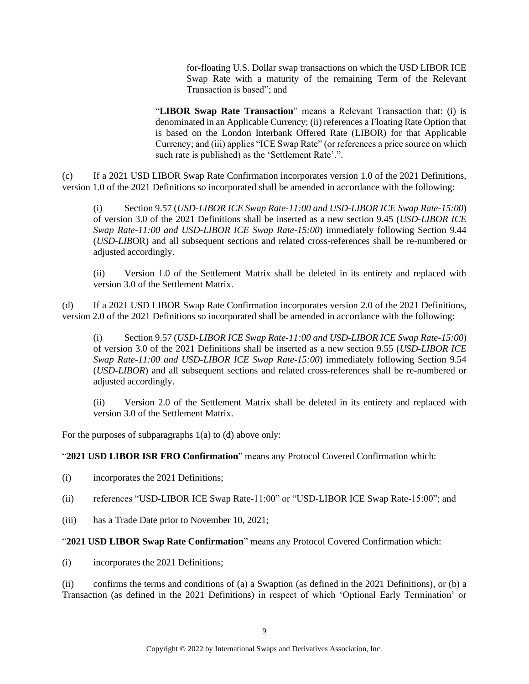for-floating U.S. Dollar swap transactions on which the USD LIBOR ICE Swap Rate with a maturity of the remaining Term of the Relevant Transaction is based"; and

"**LIBOR Swap Rate Transaction**" means a Relevant Transaction that: (i) is denominated in an Applicable Currency; (ii) references a Floating Rate Option that is based on the London Interbank Offered Rate (LIBOR) for that Applicable Currency; and (iii) applies "ICE Swap Rate" (or references a price source on which such rate is published) as the 'Settlement Rate'.".

(c) If a 2021 USD LIBOR Swap Rate Confirmation incorporates version 1.0 of the 2021 Definitions, version 1.0 of the 2021 Definitions so incorporated shall be amended in accordance with the following:

(i) Section 9.57 (*USD-LIBOR ICE Swap Rate-11:00 and USD-LIBOR ICE Swap Rate-15:00*) of version 3.0 of the 2021 Definitions shall be inserted as a new section 9.45 (*USD-LIBOR ICE Swap Rate-11:00 and USD-LIBOR ICE Swap Rate-15:00*) immediately following Section 9.44 (*USD-LIB*OR) and all subsequent sections and related cross-references shall be re-numbered or adjusted accordingly.

(ii) Version 1.0 of the Settlement Matrix shall be deleted in its entirety and replaced with version 3.0 of the Settlement Matrix.

(d) If a 2021 USD LIBOR Swap Rate Confirmation incorporates version 2.0 of the 2021 Definitions, version 2.0 of the 2021 Definitions so incorporated shall be amended in accordance with the following:

(i) Section 9.57 (*USD-LIBOR ICE Swap Rate-11:00 and USD-LIBOR ICE Swap Rate-15:00*) of version 3.0 of the 2021 Definitions shall be inserted as a new section 9.55 (*USD-LIBOR ICE Swap Rate-11:00 and USD-LIBOR ICE Swap Rate-15:00*) immediately following Section 9.54 (*USD-LIBOR*) and all subsequent sections and related cross-references shall be re-numbered or adjusted accordingly.

(ii) Version 2.0 of the Settlement Matrix shall be deleted in its entirety and replaced with version 3.0 of the Settlement Matrix.

For the purposes of subparagraphs 1(a) to (d) above only:

"**2021 USD LIBOR ISR FRO Confirmation**" means any Protocol Covered Confirmation which:

- (i) incorporates the 2021 Definitions;
- (ii) references "USD-LIBOR ICE Swap Rate-11:00" or "USD-LIBOR ICE Swap Rate-15:00"; and
- (iii) has a Trade Date prior to November 10, 2021;

#### "**2021 USD LIBOR Swap Rate Confirmation**" means any Protocol Covered Confirmation which:

(i) incorporates the 2021 Definitions;

(ii) confirms the terms and conditions of (a) a Swaption (as defined in the 2021 Definitions), or (b) a Transaction (as defined in the 2021 Definitions) in respect of which 'Optional Early Termination' or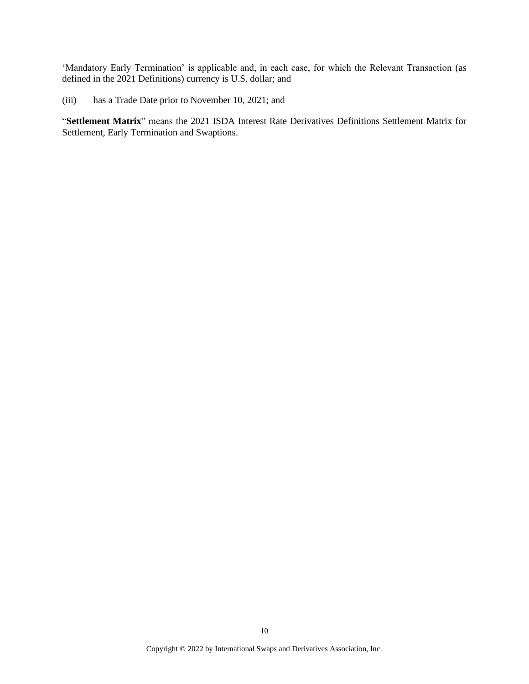'Mandatory Early Termination' is applicable and, in each case, for which the Relevant Transaction (as defined in the 2021 Definitions) currency is U.S. dollar; and

(iii) has a Trade Date prior to November 10, 2021; and

"**Settlement Matrix**" means the 2021 ISDA Interest Rate Derivatives Definitions Settlement Matrix for Settlement, Early Termination and Swaptions.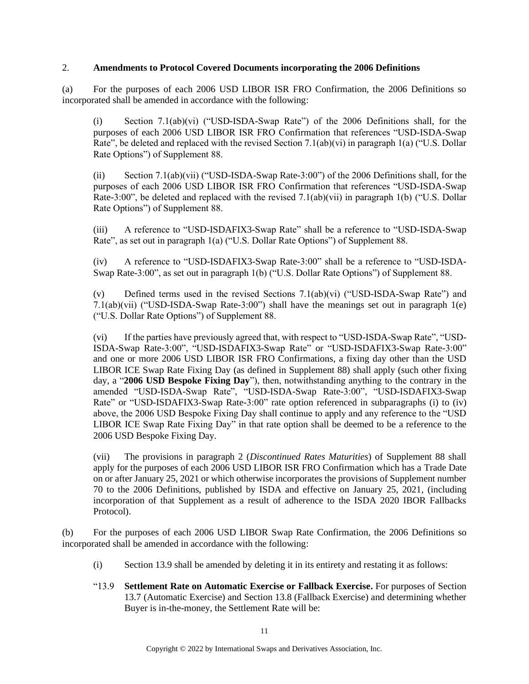#### 2. **Amendments to Protocol Covered Documents incorporating the 2006 Definitions**

(a) For the purposes of each 2006 USD LIBOR ISR FRO Confirmation, the 2006 Definitions so incorporated shall be amended in accordance with the following:

(i) Section 7.1(ab)(vi) ("USD-ISDA-Swap Rate") of the 2006 Definitions shall, for the purposes of each 2006 USD LIBOR ISR FRO Confirmation that references "USD-ISDA-Swap Rate", be deleted and replaced with the revised Section 7.1(ab)(vi) in paragraph 1(a) ("U.S. Dollar Rate Options") of Supplement 88.

(ii) Section 7.1(ab)(vii) ("USD-ISDA-Swap Rate-3:00") of the 2006 Definitions shall, for the purposes of each 2006 USD LIBOR ISR FRO Confirmation that references "USD-ISDA-Swap Rate-3:00", be deleted and replaced with the revised  $7.1(ab)(vii)$  in paragraph 1(b) ("U.S. Dollar Rate Options") of Supplement 88.

(iii) A reference to "USD-ISDAFIX3-Swap Rate" shall be a reference to "USD-ISDA-Swap Rate", as set out in paragraph 1(a) ("U.S. Dollar Rate Options") of Supplement 88.

(iv) A reference to "USD-ISDAFIX3-Swap Rate-3:00" shall be a reference to "USD-ISDA-Swap Rate-3:00", as set out in paragraph 1(b) ("U.S. Dollar Rate Options") of Supplement 88.

(v) Defined terms used in the revised Sections 7.1(ab)(vi) ("USD-ISDA-Swap Rate") and 7.1(ab)(vii) ("USD-ISDA-Swap Rate-3:00") shall have the meanings set out in paragraph 1(e) ("U.S. Dollar Rate Options") of Supplement 88.

(vi) If the parties have previously agreed that, with respect to "USD-ISDA-Swap Rate", "USD-ISDA-Swap Rate-3:00", "USD-ISDAFIX3-Swap Rate" or "USD-ISDAFIX3-Swap Rate-3:00" and one or more 2006 USD LIBOR ISR FRO Confirmations, a fixing day other than the USD LIBOR ICE Swap Rate Fixing Day (as defined in Supplement 88) shall apply (such other fixing day, a "**2006 USD Bespoke Fixing Day**"), then, notwithstanding anything to the contrary in the amended "USD-ISDA-Swap Rate", "USD-ISDA-Swap Rate-3:00", "USD-ISDAFIX3-Swap Rate" or "USD-ISDAFIX3-Swap Rate-3:00" rate option referenced in subparagraphs (i) to (iv) above, the 2006 USD Bespoke Fixing Day shall continue to apply and any reference to the "USD LIBOR ICE Swap Rate Fixing Day" in that rate option shall be deemed to be a reference to the 2006 USD Bespoke Fixing Day.

(vii) The provisions in paragraph 2 (*Discontinued Rates Maturities*) of Supplement 88 shall apply for the purposes of each 2006 USD LIBOR ISR FRO Confirmation which has a Trade Date on or after January 25, 2021 or which otherwise incorporates the provisions of Supplement number 70 to the 2006 Definitions, published by ISDA and effective on January 25, 2021, (including incorporation of that Supplement as a result of adherence to the ISDA 2020 IBOR Fallbacks Protocol).

(b) For the purposes of each 2006 USD LIBOR Swap Rate Confirmation, the 2006 Definitions so incorporated shall be amended in accordance with the following:

- (i) Section 13.9 shall be amended by deleting it in its entirety and restating it as follows:
- "13.9 **Settlement Rate on Automatic Exercise or Fallback Exercise.** For purposes of Section 13.7 (Automatic Exercise) and Section 13.8 (Fallback Exercise) and determining whether Buyer is in-the-money, the Settlement Rate will be: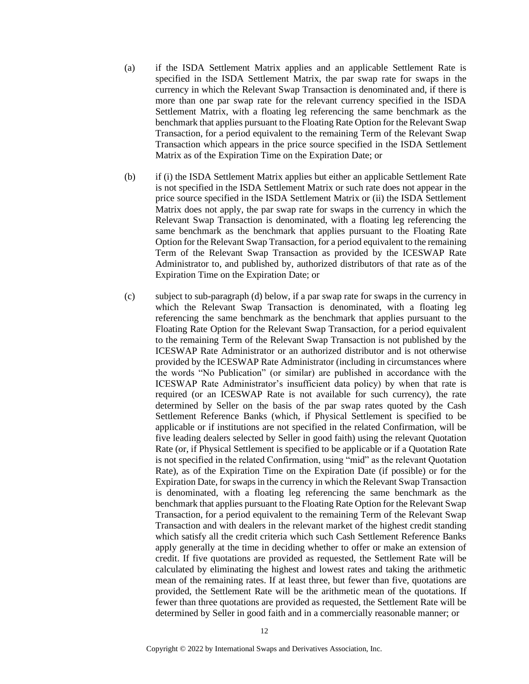- (a) if the ISDA Settlement Matrix applies and an applicable Settlement Rate is specified in the ISDA Settlement Matrix, the par swap rate for swaps in the currency in which the Relevant Swap Transaction is denominated and, if there is more than one par swap rate for the relevant currency specified in the ISDA Settlement Matrix, with a floating leg referencing the same benchmark as the benchmark that applies pursuant to the Floating Rate Option for the Relevant Swap Transaction, for a period equivalent to the remaining Term of the Relevant Swap Transaction which appears in the price source specified in the ISDA Settlement Matrix as of the Expiration Time on the Expiration Date; or
- (b) if (i) the ISDA Settlement Matrix applies but either an applicable Settlement Rate is not specified in the ISDA Settlement Matrix or such rate does not appear in the price source specified in the ISDA Settlement Matrix or (ii) the ISDA Settlement Matrix does not apply, the par swap rate for swaps in the currency in which the Relevant Swap Transaction is denominated, with a floating leg referencing the same benchmark as the benchmark that applies pursuant to the Floating Rate Option for the Relevant Swap Transaction, for a period equivalent to the remaining Term of the Relevant Swap Transaction as provided by the ICESWAP Rate Administrator to, and published by, authorized distributors of that rate as of the Expiration Time on the Expiration Date; or
- (c) subject to sub-paragraph (d) below, if a par swap rate for swaps in the currency in which the Relevant Swap Transaction is denominated, with a floating leg referencing the same benchmark as the benchmark that applies pursuant to the Floating Rate Option for the Relevant Swap Transaction, for a period equivalent to the remaining Term of the Relevant Swap Transaction is not published by the ICESWAP Rate Administrator or an authorized distributor and is not otherwise provided by the ICESWAP Rate Administrator (including in circumstances where the words "No Publication" (or similar) are published in accordance with the ICESWAP Rate Administrator's insufficient data policy) by when that rate is required (or an ICESWAP Rate is not available for such currency), the rate determined by Seller on the basis of the par swap rates quoted by the Cash Settlement Reference Banks (which, if Physical Settlement is specified to be applicable or if institutions are not specified in the related Confirmation, will be five leading dealers selected by Seller in good faith) using the relevant Quotation Rate (or, if Physical Settlement is specified to be applicable or if a Quotation Rate is not specified in the related Confirmation, using "mid" as the relevant Quotation Rate), as of the Expiration Time on the Expiration Date (if possible) or for the Expiration Date, for swaps in the currency in which the Relevant Swap Transaction is denominated, with a floating leg referencing the same benchmark as the benchmark that applies pursuant to the Floating Rate Option for the Relevant Swap Transaction, for a period equivalent to the remaining Term of the Relevant Swap Transaction and with dealers in the relevant market of the highest credit standing which satisfy all the credit criteria which such Cash Settlement Reference Banks apply generally at the time in deciding whether to offer or make an extension of credit. If five quotations are provided as requested, the Settlement Rate will be calculated by eliminating the highest and lowest rates and taking the arithmetic mean of the remaining rates. If at least three, but fewer than five, quotations are provided, the Settlement Rate will be the arithmetic mean of the quotations. If fewer than three quotations are provided as requested, the Settlement Rate will be determined by Seller in good faith and in a commercially reasonable manner; or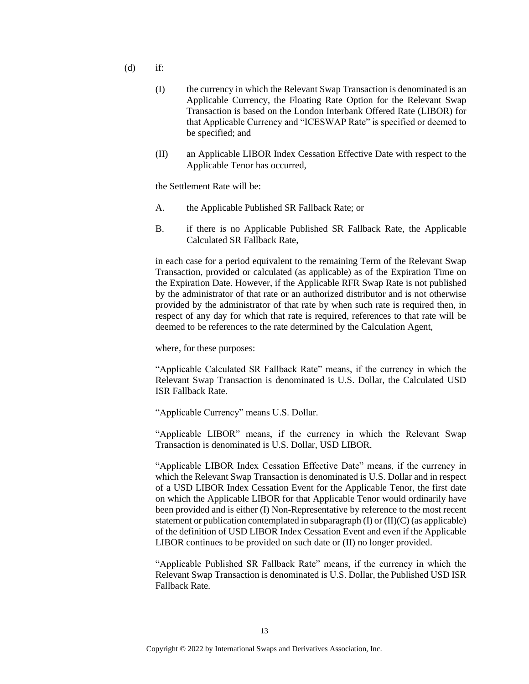- $(d)$  if:
	- (I) the currency in which the Relevant Swap Transaction is denominated is an Applicable Currency, the Floating Rate Option for the Relevant Swap Transaction is based on the London Interbank Offered Rate (LIBOR) for that Applicable Currency and "ICESWAP Rate" is specified or deemed to be specified; and
	- (II) an Applicable LIBOR Index Cessation Effective Date with respect to the Applicable Tenor has occurred,

the Settlement Rate will be:

- A. the Applicable Published SR Fallback Rate; or
- B. if there is no Applicable Published SR Fallback Rate, the Applicable Calculated SR Fallback Rate,

in each case for a period equivalent to the remaining Term of the Relevant Swap Transaction, provided or calculated (as applicable) as of the Expiration Time on the Expiration Date. However, if the Applicable RFR Swap Rate is not published by the administrator of that rate or an authorized distributor and is not otherwise provided by the administrator of that rate by when such rate is required then, in respect of any day for which that rate is required, references to that rate will be deemed to be references to the rate determined by the Calculation Agent,

where, for these purposes:

"Applicable Calculated SR Fallback Rate" means, if the currency in which the Relevant Swap Transaction is denominated is U.S. Dollar, the Calculated USD ISR Fallback Rate.

"Applicable Currency" means U.S. Dollar.

"Applicable LIBOR" means, if the currency in which the Relevant Swap Transaction is denominated is U.S. Dollar, USD LIBOR.

"Applicable LIBOR Index Cessation Effective Date" means, if the currency in which the Relevant Swap Transaction is denominated is U.S. Dollar and in respect of a USD LIBOR Index Cessation Event for the Applicable Tenor, the first date on which the Applicable LIBOR for that Applicable Tenor would ordinarily have been provided and is either (I) Non-Representative by reference to the most recent statement or publication contemplated in subparagraph  $(I)$  or  $(II)(C)$  (as applicable) of the definition of USD LIBOR Index Cessation Event and even if the Applicable LIBOR continues to be provided on such date or (II) no longer provided.

"Applicable Published SR Fallback Rate" means, if the currency in which the Relevant Swap Transaction is denominated is U.S. Dollar, the Published USD ISR Fallback Rate.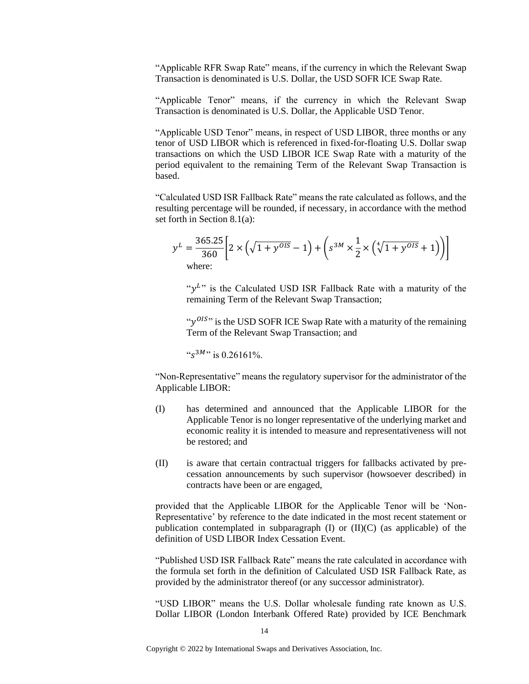"Applicable RFR Swap Rate" means, if the currency in which the Relevant Swap Transaction is denominated is U.S. Dollar, the USD SOFR ICE Swap Rate.

"Applicable Tenor" means, if the currency in which the Relevant Swap Transaction is denominated is U.S. Dollar, the Applicable USD Tenor.

"Applicable USD Tenor" means, in respect of USD LIBOR, three months or any tenor of USD LIBOR which is referenced in fixed-for-floating U.S. Dollar swap transactions on which the USD LIBOR ICE Swap Rate with a maturity of the period equivalent to the remaining Term of the Relevant Swap Transaction is based.

"Calculated USD ISR Fallback Rate" means the rate calculated as follows, and the resulting percentage will be rounded, if necessary, in accordance with the method set forth in Section 8.1(a):

$$
y^{L} = \frac{365.25}{360} \left[ 2 \times \left( \sqrt{1 + y^{OIS}} - 1 \right) + \left( s^{3M} \times \frac{1}{2} \times \left( \sqrt[4]{1 + y^{OIS}} + 1 \right) \right) \right]
$$
  
where:

" $y<sup>L</sup>$ " is the Calculated USD ISR Fallback Rate with a maturity of the remaining Term of the Relevant Swap Transaction;

" $y^{OIS}$ " is the USD SOFR ICE Swap Rate with a maturity of the remaining Term of the Relevant Swap Transaction; and

" $s^{3M}$ " is 0.26161%.

"Non-Representative" means the regulatory supervisor for the administrator of the Applicable LIBOR:

- (I) has determined and announced that the Applicable LIBOR for the Applicable Tenor is no longer representative of the underlying market and economic reality it is intended to measure and representativeness will not be restored; and
- (II) is aware that certain contractual triggers for fallbacks activated by precessation announcements by such supervisor (howsoever described) in contracts have been or are engaged,

provided that the Applicable LIBOR for the Applicable Tenor will be 'Non-Representative' by reference to the date indicated in the most recent statement or publication contemplated in subparagraph  $(I)$  or  $(II)(C)$  (as applicable) of the definition of USD LIBOR Index Cessation Event.

"Published USD ISR Fallback Rate" means the rate calculated in accordance with the formula set forth in the definition of Calculated USD ISR Fallback Rate, as provided by the administrator thereof (or any successor administrator).

"USD LIBOR" means the U.S. Dollar wholesale funding rate known as U.S. Dollar LIBOR (London Interbank Offered Rate) provided by ICE Benchmark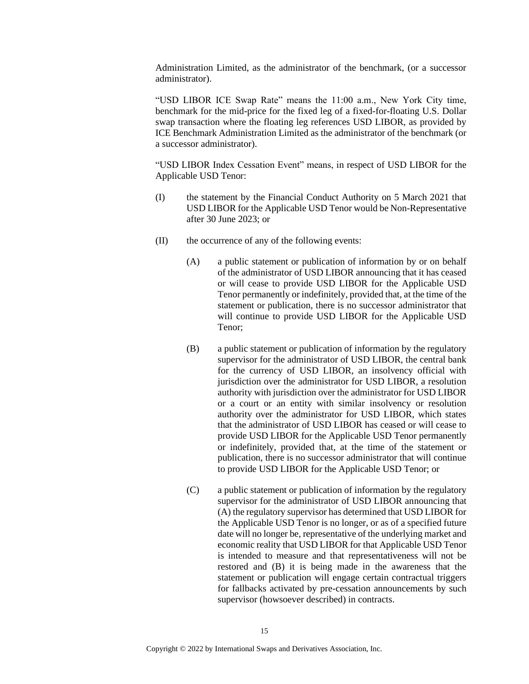Administration Limited, as the administrator of the benchmark, (or a successor administrator).

"USD LIBOR ICE Swap Rate" means the 11:00 a.m., New York City time, benchmark for the mid-price for the fixed leg of a fixed-for-floating U.S. Dollar swap transaction where the floating leg references USD LIBOR, as provided by ICE Benchmark Administration Limited as the administrator of the benchmark (or a successor administrator).

"USD LIBOR Index Cessation Event" means, in respect of USD LIBOR for the Applicable USD Tenor:

- (I) the statement by the Financial Conduct Authority on 5 March 2021 that USD LIBOR for the Applicable USD Tenor would be Non-Representative after 30 June 2023; or
- (II) the occurrence of any of the following events:
	- (A) a public statement or publication of information by or on behalf of the administrator of USD LIBOR announcing that it has ceased or will cease to provide USD LIBOR for the Applicable USD Tenor permanently or indefinitely, provided that, at the time of the statement or publication, there is no successor administrator that will continue to provide USD LIBOR for the Applicable USD Tenor;
	- (B) a public statement or publication of information by the regulatory supervisor for the administrator of USD LIBOR, the central bank for the currency of USD LIBOR, an insolvency official with jurisdiction over the administrator for USD LIBOR, a resolution authority with jurisdiction over the administrator for USD LIBOR or a court or an entity with similar insolvency or resolution authority over the administrator for USD LIBOR, which states that the administrator of USD LIBOR has ceased or will cease to provide USD LIBOR for the Applicable USD Tenor permanently or indefinitely, provided that, at the time of the statement or publication, there is no successor administrator that will continue to provide USD LIBOR for the Applicable USD Tenor; or
	- (C) a public statement or publication of information by the regulatory supervisor for the administrator of USD LIBOR announcing that (A) the regulatory supervisor has determined that USD LIBOR for the Applicable USD Tenor is no longer, or as of a specified future date will no longer be, representative of the underlying market and economic reality that USD LIBOR for that Applicable USD Tenor is intended to measure and that representativeness will not be restored and (B) it is being made in the awareness that the statement or publication will engage certain contractual triggers for fallbacks activated by pre-cessation announcements by such supervisor (howsoever described) in contracts.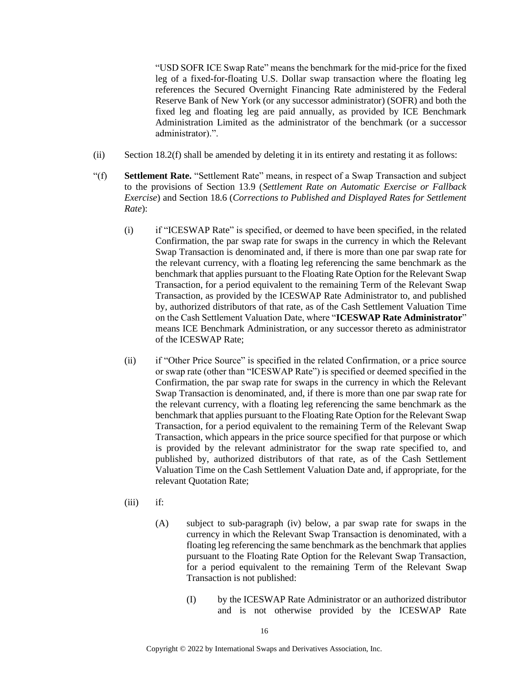"USD SOFR ICE Swap Rate" means the benchmark for the mid-price for the fixed leg of a fixed-for-floating U.S. Dollar swap transaction where the floating leg references the Secured Overnight Financing Rate administered by the Federal Reserve Bank of New York (or any successor administrator) (SOFR) and both the fixed leg and floating leg are paid annually, as provided by ICE Benchmark Administration Limited as the administrator of the benchmark (or a successor administrator).".

- (ii) Section 18.2(f) shall be amended by deleting it in its entirety and restating it as follows:
- "(f) **Settlement Rate.** "Settlement Rate" means, in respect of a Swap Transaction and subject to the provisions of Section 13.9 (*Settlement Rate on Automatic Exercise or Fallback Exercise*) and Section 18.6 (*Corrections to Published and Displayed Rates for Settlement Rate*):
	- (i) if "ICESWAP Rate" is specified, or deemed to have been specified, in the related Confirmation, the par swap rate for swaps in the currency in which the Relevant Swap Transaction is denominated and, if there is more than one par swap rate for the relevant currency, with a floating leg referencing the same benchmark as the benchmark that applies pursuant to the Floating Rate Option for the Relevant Swap Transaction, for a period equivalent to the remaining Term of the Relevant Swap Transaction, as provided by the ICESWAP Rate Administrator to, and published by, authorized distributors of that rate, as of the Cash Settlement Valuation Time on the Cash Settlement Valuation Date, where "**ICESWAP Rate Administrator**" means ICE Benchmark Administration, or any successor thereto as administrator of the ICESWAP Rate;
	- (ii) if "Other Price Source" is specified in the related Confirmation, or a price source or swap rate (other than "ICESWAP Rate") is specified or deemed specified in the Confirmation, the par swap rate for swaps in the currency in which the Relevant Swap Transaction is denominated, and, if there is more than one par swap rate for the relevant currency, with a floating leg referencing the same benchmark as the benchmark that applies pursuant to the Floating Rate Option for the Relevant Swap Transaction, for a period equivalent to the remaining Term of the Relevant Swap Transaction, which appears in the price source specified for that purpose or which is provided by the relevant administrator for the swap rate specified to, and published by, authorized distributors of that rate, as of the Cash Settlement Valuation Time on the Cash Settlement Valuation Date and, if appropriate, for the relevant Quotation Rate;
	- (iii) if:
		- (A) subject to sub-paragraph (iv) below, a par swap rate for swaps in the currency in which the Relevant Swap Transaction is denominated, with a floating leg referencing the same benchmark as the benchmark that applies pursuant to the Floating Rate Option for the Relevant Swap Transaction, for a period equivalent to the remaining Term of the Relevant Swap Transaction is not published:
			- (I) by the ICESWAP Rate Administrator or an authorized distributor and is not otherwise provided by the ICESWAP Rate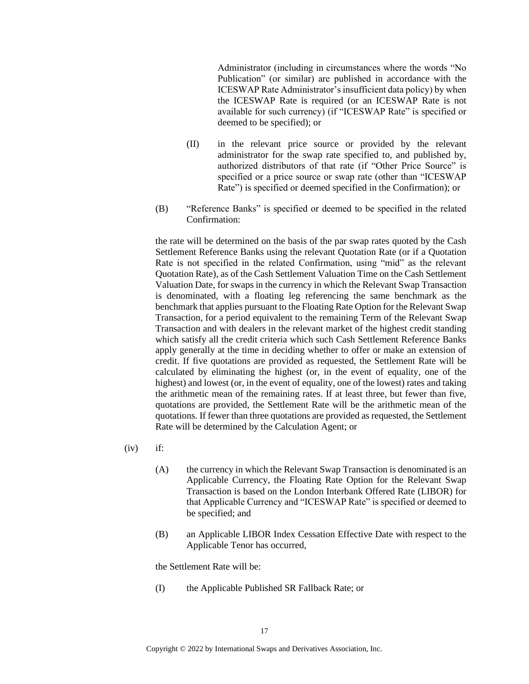Administrator (including in circumstances where the words "No Publication" (or similar) are published in accordance with the ICESWAP Rate Administrator's insufficient data policy) by when the ICESWAP Rate is required (or an ICESWAP Rate is not available for such currency) (if "ICESWAP Rate" is specified or deemed to be specified); or

- (II) in the relevant price source or provided by the relevant administrator for the swap rate specified to, and published by, authorized distributors of that rate (if "Other Price Source" is specified or a price source or swap rate (other than "ICESWAP Rate") is specified or deemed specified in the Confirmation); or
- (B) "Reference Banks" is specified or deemed to be specified in the related Confirmation:

the rate will be determined on the basis of the par swap rates quoted by the Cash Settlement Reference Banks using the relevant Quotation Rate (or if a Quotation Rate is not specified in the related Confirmation, using "mid" as the relevant Quotation Rate), as of the Cash Settlement Valuation Time on the Cash Settlement Valuation Date, for swaps in the currency in which the Relevant Swap Transaction is denominated, with a floating leg referencing the same benchmark as the benchmark that applies pursuant to the Floating Rate Option for the Relevant Swap Transaction, for a period equivalent to the remaining Term of the Relevant Swap Transaction and with dealers in the relevant market of the highest credit standing which satisfy all the credit criteria which such Cash Settlement Reference Banks apply generally at the time in deciding whether to offer or make an extension of credit. If five quotations are provided as requested, the Settlement Rate will be calculated by eliminating the highest (or, in the event of equality, one of the highest) and lowest (or, in the event of equality, one of the lowest) rates and taking the arithmetic mean of the remaining rates. If at least three, but fewer than five, quotations are provided, the Settlement Rate will be the arithmetic mean of the quotations. If fewer than three quotations are provided as requested, the Settlement Rate will be determined by the Calculation Agent; or

- $(iv)$  if:
	- (A) the currency in which the Relevant Swap Transaction is denominated is an Applicable Currency, the Floating Rate Option for the Relevant Swap Transaction is based on the London Interbank Offered Rate (LIBOR) for that Applicable Currency and "ICESWAP Rate" is specified or deemed to be specified; and
	- (B) an Applicable LIBOR Index Cessation Effective Date with respect to the Applicable Tenor has occurred,

the Settlement Rate will be:

(I) the Applicable Published SR Fallback Rate; or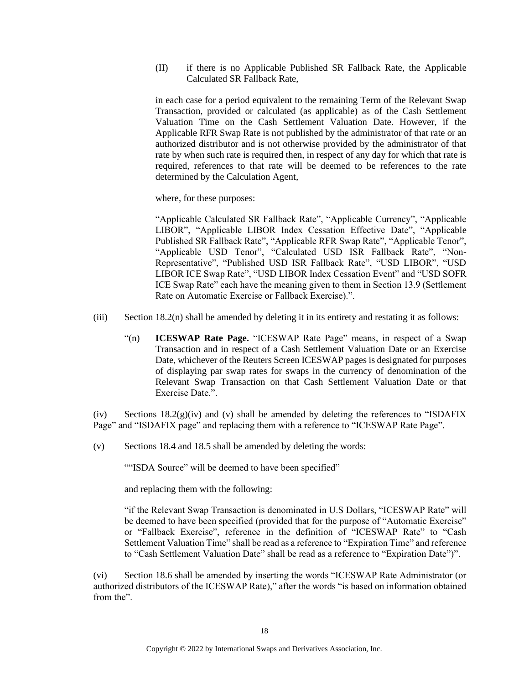(II) if there is no Applicable Published SR Fallback Rate, the Applicable Calculated SR Fallback Rate,

in each case for a period equivalent to the remaining Term of the Relevant Swap Transaction, provided or calculated (as applicable) as of the Cash Settlement Valuation Time on the Cash Settlement Valuation Date. However, if the Applicable RFR Swap Rate is not published by the administrator of that rate or an authorized distributor and is not otherwise provided by the administrator of that rate by when such rate is required then, in respect of any day for which that rate is required, references to that rate will be deemed to be references to the rate determined by the Calculation Agent,

where, for these purposes:

"Applicable Calculated SR Fallback Rate", "Applicable Currency", "Applicable LIBOR", "Applicable LIBOR Index Cessation Effective Date", "Applicable Published SR Fallback Rate", "Applicable RFR Swap Rate", "Applicable Tenor", "Applicable USD Tenor", "Calculated USD ISR Fallback Rate", "Non-Representative", "Published USD ISR Fallback Rate", "USD LIBOR", "USD LIBOR ICE Swap Rate", "USD LIBOR Index Cessation Event" and "USD SOFR ICE Swap Rate" each have the meaning given to them in Section 13.9 (Settlement Rate on Automatic Exercise or Fallback Exercise).".

- (iii) Section 18.2(n) shall be amended by deleting it in its entirety and restating it as follows:
	- "(n) **ICESWAP Rate Page.** "ICESWAP Rate Page" means, in respect of a Swap Transaction and in respect of a Cash Settlement Valuation Date or an Exercise Date, whichever of the Reuters Screen ICESWAP pages is designated for purposes of displaying par swap rates for swaps in the currency of denomination of the Relevant Swap Transaction on that Cash Settlement Valuation Date or that Exercise Date.".

(iv) Sections  $18.2(g)(iv)$  and (v) shall be amended by deleting the references to "ISDAFIX" Page" and "ISDAFIX page" and replacing them with a reference to "ICESWAP Rate Page".

(v) Sections 18.4 and 18.5 shall be amended by deleting the words:

""ISDA Source" will be deemed to have been specified"

and replacing them with the following:

"if the Relevant Swap Transaction is denominated in U.S Dollars, "ICESWAP Rate" will be deemed to have been specified (provided that for the purpose of "Automatic Exercise" or "Fallback Exercise", reference in the definition of "ICESWAP Rate" to "Cash Settlement Valuation Time" shall be read as a reference to "Expiration Time" and reference to "Cash Settlement Valuation Date" shall be read as a reference to "Expiration Date")".

(vi) Section 18.6 shall be amended by inserting the words "ICESWAP Rate Administrator (or authorized distributors of the ICESWAP Rate)," after the words "is based on information obtained from the".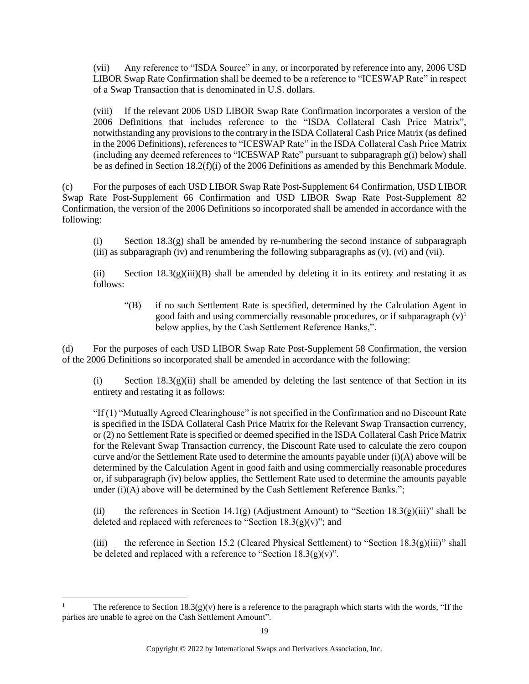(vii) Any reference to "ISDA Source" in any, or incorporated by reference into any, 2006 USD LIBOR Swap Rate Confirmation shall be deemed to be a reference to "ICESWAP Rate" in respect of a Swap Transaction that is denominated in U.S. dollars.

(viii) If the relevant 2006 USD LIBOR Swap Rate Confirmation incorporates a version of the 2006 Definitions that includes reference to the "ISDA Collateral Cash Price Matrix", notwithstanding any provisions to the contrary in the ISDA Collateral Cash Price Matrix (as defined in the 2006 Definitions), references to "ICESWAP Rate" in the ISDA Collateral Cash Price Matrix (including any deemed references to "ICESWAP Rate" pursuant to subparagraph g(i) below) shall be as defined in Section 18.2(f)(i) of the 2006 Definitions as amended by this Benchmark Module.

(c) For the purposes of each USD LIBOR Swap Rate Post-Supplement 64 Confirmation, USD LIBOR Swap Rate Post-Supplement 66 Confirmation and USD LIBOR Swap Rate Post-Supplement 82 Confirmation, the version of the 2006 Definitions so incorporated shall be amended in accordance with the following:

(i) Section  $18.3(g)$  shall be amended by re-numbering the second instance of subparagraph (iii) as subparagraph (iv) and renumbering the following subparagraphs as (v), (vi) and (vii).

(ii) Section  $18.3(g)(iii)(B)$  shall be amended by deleting it in its entirety and restating it as follows:

"(B) if no such Settlement Rate is specified, determined by the Calculation Agent in good faith and using commercially reasonable procedures, or if subparagraph  $(v)^1$ below applies, by the Cash Settlement Reference Banks,".

(d) For the purposes of each USD LIBOR Swap Rate Post-Supplement 58 Confirmation, the version of the 2006 Definitions so incorporated shall be amended in accordance with the following:

(i) Section  $18.3(g)(ii)$  shall be amended by deleting the last sentence of that Section in its entirety and restating it as follows:

"If (1) "Mutually Agreed Clearinghouse" is not specified in the Confirmation and no Discount Rate is specified in the ISDA Collateral Cash Price Matrix for the Relevant Swap Transaction currency, or (2) no Settlement Rate is specified or deemed specified in the ISDA Collateral Cash Price Matrix for the Relevant Swap Transaction currency, the Discount Rate used to calculate the zero coupon curve and/or the Settlement Rate used to determine the amounts payable under (i)(A) above will be determined by the Calculation Agent in good faith and using commercially reasonable procedures or, if subparagraph (iv) below applies, the Settlement Rate used to determine the amounts payable under (i)(A) above will be determined by the Cash Settlement Reference Banks.";

(ii) the references in Section 14.1(g) (Adjustment Amount) to "Section 18.3(g)(iii)" shall be deleted and replaced with references to "Section  $18.3(g)(v)$ "; and

(iii) the reference in Section 15.2 (Cleared Physical Settlement) to "Section  $18.3(g)(iii)$ " shall be deleted and replaced with a reference to "Section  $18.3(g)(v)$ ".

The reference to Section 18.3(g)(v) here is a reference to the paragraph which starts with the words, "If the parties are unable to agree on the Cash Settlement Amount".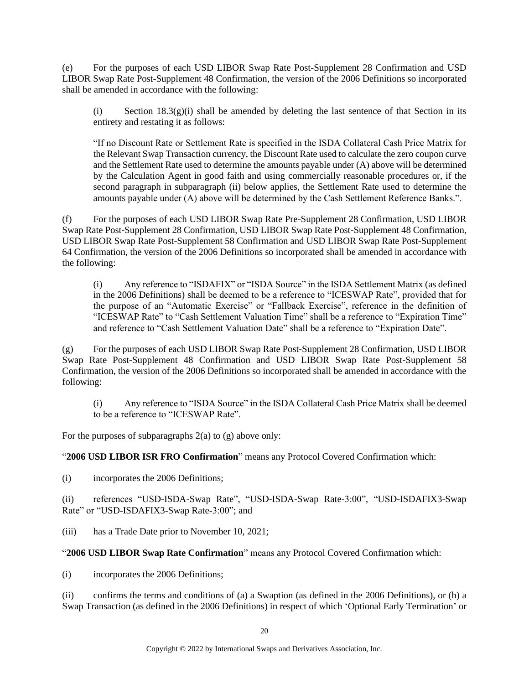(e) For the purposes of each USD LIBOR Swap Rate Post-Supplement 28 Confirmation and USD LIBOR Swap Rate Post-Supplement 48 Confirmation, the version of the 2006 Definitions so incorporated shall be amended in accordance with the following:

(i) Section  $18.3(g)(i)$  shall be amended by deleting the last sentence of that Section in its entirety and restating it as follows:

"If no Discount Rate or Settlement Rate is specified in the ISDA Collateral Cash Price Matrix for the Relevant Swap Transaction currency, the Discount Rate used to calculate the zero coupon curve and the Settlement Rate used to determine the amounts payable under (A) above will be determined by the Calculation Agent in good faith and using commercially reasonable procedures or, if the second paragraph in subparagraph (ii) below applies, the Settlement Rate used to determine the amounts payable under (A) above will be determined by the Cash Settlement Reference Banks.".

(f) For the purposes of each USD LIBOR Swap Rate Pre-Supplement 28 Confirmation, USD LIBOR Swap Rate Post-Supplement 28 Confirmation, USD LIBOR Swap Rate Post-Supplement 48 Confirmation, USD LIBOR Swap Rate Post-Supplement 58 Confirmation and USD LIBOR Swap Rate Post-Supplement 64 Confirmation, the version of the 2006 Definitions so incorporated shall be amended in accordance with the following:

(i) Any reference to "ISDAFIX" or "ISDA Source" in the ISDA Settlement Matrix (as defined in the 2006 Definitions) shall be deemed to be a reference to "ICESWAP Rate", provided that for the purpose of an "Automatic Exercise" or "Fallback Exercise", reference in the definition of "ICESWAP Rate" to "Cash Settlement Valuation Time" shall be a reference to "Expiration Time" and reference to "Cash Settlement Valuation Date" shall be a reference to "Expiration Date".

(g) For the purposes of each USD LIBOR Swap Rate Post-Supplement 28 Confirmation, USD LIBOR Swap Rate Post-Supplement 48 Confirmation and USD LIBOR Swap Rate Post-Supplement 58 Confirmation, the version of the 2006 Definitions so incorporated shall be amended in accordance with the following:

(i) Any reference to "ISDA Source" in the ISDA Collateral Cash Price Matrix shall be deemed to be a reference to "ICESWAP Rate".

For the purposes of subparagraphs  $2(a)$  to  $(g)$  above only:

"**2006 USD LIBOR ISR FRO Confirmation**" means any Protocol Covered Confirmation which:

(i) incorporates the 2006 Definitions;

(ii) references "USD-ISDA-Swap Rate", "USD-ISDA-Swap Rate-3:00", "USD-ISDAFIX3-Swap Rate" or "USD-ISDAFIX3-Swap Rate-3:00"; and

(iii) has a Trade Date prior to November 10, 2021;

"**2006 USD LIBOR Swap Rate Confirmation**" means any Protocol Covered Confirmation which:

(i) incorporates the 2006 Definitions;

(ii) confirms the terms and conditions of (a) a Swaption (as defined in the 2006 Definitions), or (b) a Swap Transaction (as defined in the 2006 Definitions) in respect of which 'Optional Early Termination' or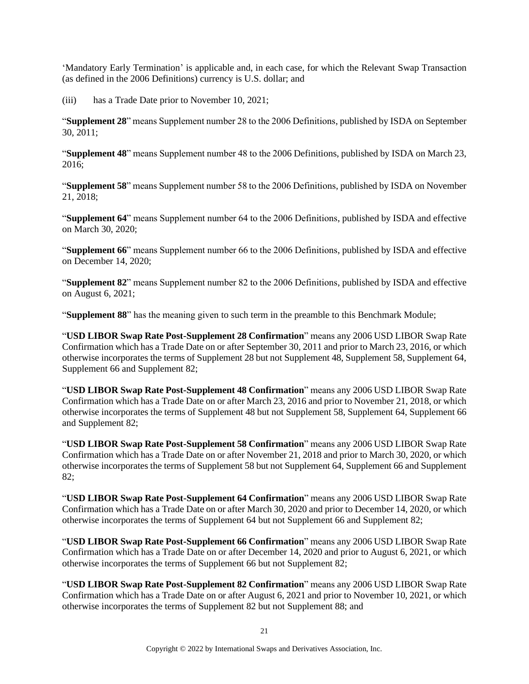'Mandatory Early Termination' is applicable and, in each case, for which the Relevant Swap Transaction (as defined in the 2006 Definitions) currency is U.S. dollar; and

(iii) has a Trade Date prior to November 10, 2021;

"**Supplement 28**" means Supplement number 28 to the 2006 Definitions, published by ISDA on September 30, 2011;

"**Supplement 48**" means Supplement number 48 to the 2006 Definitions, published by ISDA on March 23, 2016;

"**Supplement 58**" means Supplement number 58 to the 2006 Definitions, published by ISDA on November 21, 2018;

"**Supplement 64**" means Supplement number 64 to the 2006 Definitions, published by ISDA and effective on March 30, 2020;

"**Supplement 66**" means Supplement number 66 to the 2006 Definitions, published by ISDA and effective on December 14, 2020;

"**Supplement 82**" means Supplement number 82 to the 2006 Definitions, published by ISDA and effective on August 6, 2021;

"**Supplement 88**" has the meaning given to such term in the preamble to this Benchmark Module;

"**USD LIBOR Swap Rate Post-Supplement 28 Confirmation**" means any 2006 USD LIBOR Swap Rate Confirmation which has a Trade Date on or after September 30, 2011 and prior to March 23, 2016, or which otherwise incorporates the terms of Supplement 28 but not Supplement 48, Supplement 58, Supplement 64, Supplement 66 and Supplement 82;

"**USD LIBOR Swap Rate Post-Supplement 48 Confirmation**" means any 2006 USD LIBOR Swap Rate Confirmation which has a Trade Date on or after March 23, 2016 and prior to November 21, 2018, or which otherwise incorporates the terms of Supplement 48 but not Supplement 58, Supplement 64, Supplement 66 and Supplement 82;

"**USD LIBOR Swap Rate Post-Supplement 58 Confirmation**" means any 2006 USD LIBOR Swap Rate Confirmation which has a Trade Date on or after November 21, 2018 and prior to March 30, 2020, or which otherwise incorporates the terms of Supplement 58 but not Supplement 64, Supplement 66 and Supplement 82;

"**USD LIBOR Swap Rate Post-Supplement 64 Confirmation**" means any 2006 USD LIBOR Swap Rate Confirmation which has a Trade Date on or after March 30, 2020 and prior to December 14, 2020, or which otherwise incorporates the terms of Supplement 64 but not Supplement 66 and Supplement 82;

"**USD LIBOR Swap Rate Post-Supplement 66 Confirmation**" means any 2006 USD LIBOR Swap Rate Confirmation which has a Trade Date on or after December 14, 2020 and prior to August 6, 2021, or which otherwise incorporates the terms of Supplement 66 but not Supplement 82;

"**USD LIBOR Swap Rate Post-Supplement 82 Confirmation**" means any 2006 USD LIBOR Swap Rate Confirmation which has a Trade Date on or after August 6, 2021 and prior to November 10, 2021, or which otherwise incorporates the terms of Supplement 82 but not Supplement 88; and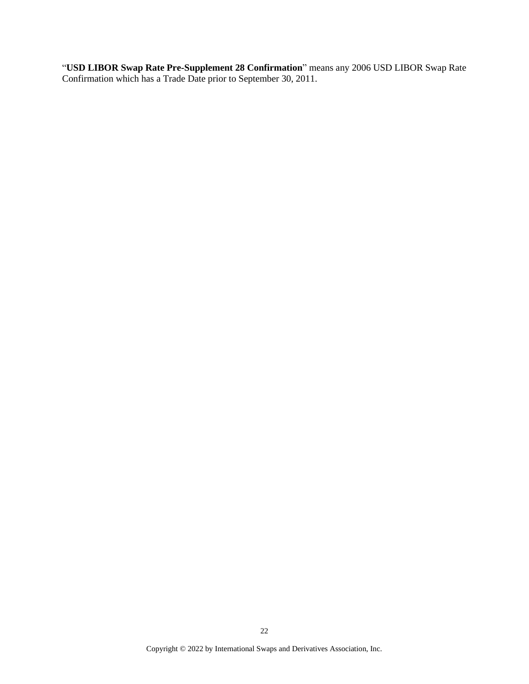"**USD LIBOR Swap Rate Pre-Supplement 28 Confirmation**" means any 2006 USD LIBOR Swap Rate Confirmation which has a Trade Date prior to September 30, 2011.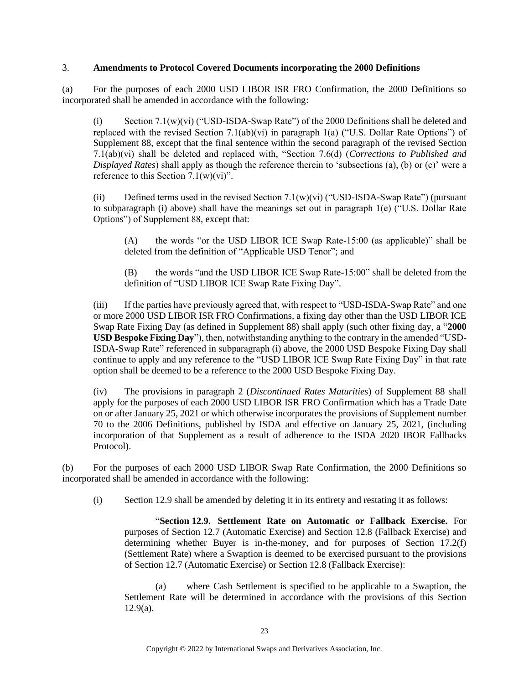#### 3. **Amendments to Protocol Covered Documents incorporating the 2000 Definitions**

(a) For the purposes of each 2000 USD LIBOR ISR FRO Confirmation, the 2000 Definitions so incorporated shall be amended in accordance with the following:

(i) Section 7.1(w)(vi) ("USD-ISDA-Swap Rate") of the 2000 Definitions shall be deleted and replaced with the revised Section 7.1(ab)(vi) in paragraph 1(a) ("U.S. Dollar Rate Options") of Supplement 88, except that the final sentence within the second paragraph of the revised Section 7.1(ab)(vi) shall be deleted and replaced with, "Section 7.6(d) (*Corrections to Published and Displayed Rates*) shall apply as though the reference therein to 'subsections (a), (b) or (c)' were a reference to this Section  $7.1(w)(vi)$ ".

(ii) Defined terms used in the revised Section  $7.1(w)(vi)$  ("USD-ISDA-Swap Rate") (pursuant to subparagraph (i) above) shall have the meanings set out in paragraph  $1(e)$  ("U.S. Dollar Rate Options") of Supplement 88, except that:

(A) the words "or the USD LIBOR ICE Swap Rate-15:00 (as applicable)" shall be deleted from the definition of "Applicable USD Tenor"; and

(B) the words "and the USD LIBOR ICE Swap Rate-15:00" shall be deleted from the definition of "USD LIBOR ICE Swap Rate Fixing Day".

(iii) If the parties have previously agreed that, with respect to "USD-ISDA-Swap Rate" and one or more 2000 USD LIBOR ISR FRO Confirmations, a fixing day other than the USD LIBOR ICE Swap Rate Fixing Day (as defined in Supplement 88) shall apply (such other fixing day, a "**2000 USD Bespoke Fixing Day**"), then, notwithstanding anything to the contrary in the amended "USD-ISDA-Swap Rate" referenced in subparagraph (i) above, the 2000 USD Bespoke Fixing Day shall continue to apply and any reference to the "USD LIBOR ICE Swap Rate Fixing Day" in that rate option shall be deemed to be a reference to the 2000 USD Bespoke Fixing Day.

(iv) The provisions in paragraph 2 (*Discontinued Rates Maturities*) of Supplement 88 shall apply for the purposes of each 2000 USD LIBOR ISR FRO Confirmation which has a Trade Date on or after January 25, 2021 or which otherwise incorporates the provisions of Supplement number 70 to the 2006 Definitions, published by ISDA and effective on January 25, 2021, (including incorporation of that Supplement as a result of adherence to the ISDA 2020 IBOR Fallbacks Protocol).

(b) For the purposes of each 2000 USD LIBOR Swap Rate Confirmation, the 2000 Definitions so incorporated shall be amended in accordance with the following:

(i) Section 12.9 shall be amended by deleting it in its entirety and restating it as follows:

"**Section 12.9. Settlement Rate on Automatic or Fallback Exercise.** For purposes of Section 12.7 (Automatic Exercise) and Section 12.8 (Fallback Exercise) and determining whether Buyer is in-the-money, and for purposes of Section 17.2(f) (Settlement Rate) where a Swaption is deemed to be exercised pursuant to the provisions of Section 12.7 (Automatic Exercise) or Section 12.8 (Fallback Exercise):

(a) where Cash Settlement is specified to be applicable to a Swaption, the Settlement Rate will be determined in accordance with the provisions of this Section  $12.9(a)$ .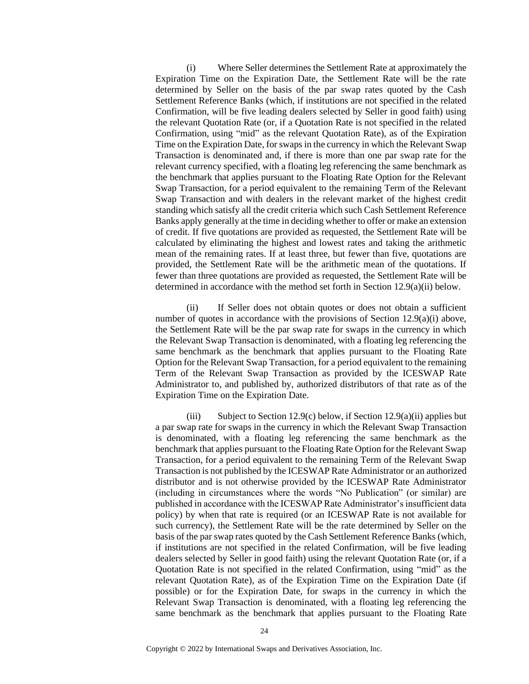(i) Where Seller determines the Settlement Rate at approximately the Expiration Time on the Expiration Date, the Settlement Rate will be the rate determined by Seller on the basis of the par swap rates quoted by the Cash Settlement Reference Banks (which, if institutions are not specified in the related Confirmation, will be five leading dealers selected by Seller in good faith) using the relevant Quotation Rate (or, if a Quotation Rate is not specified in the related Confirmation, using "mid" as the relevant Quotation Rate), as of the Expiration Time on the Expiration Date, for swaps in the currency in which the Relevant Swap Transaction is denominated and, if there is more than one par swap rate for the relevant currency specified, with a floating leg referencing the same benchmark as the benchmark that applies pursuant to the Floating Rate Option for the Relevant Swap Transaction, for a period equivalent to the remaining Term of the Relevant Swap Transaction and with dealers in the relevant market of the highest credit standing which satisfy all the credit criteria which such Cash Settlement Reference Banks apply generally at the time in deciding whether to offer or make an extension of credit. If five quotations are provided as requested, the Settlement Rate will be calculated by eliminating the highest and lowest rates and taking the arithmetic mean of the remaining rates. If at least three, but fewer than five, quotations are provided, the Settlement Rate will be the arithmetic mean of the quotations. If fewer than three quotations are provided as requested, the Settlement Rate will be determined in accordance with the method set forth in Section 12.9(a)(ii) below.

(ii) If Seller does not obtain quotes or does not obtain a sufficient number of quotes in accordance with the provisions of Section 12.9(a)(i) above, the Settlement Rate will be the par swap rate for swaps in the currency in which the Relevant Swap Transaction is denominated, with a floating leg referencing the same benchmark as the benchmark that applies pursuant to the Floating Rate Option for the Relevant Swap Transaction, for a period equivalent to the remaining Term of the Relevant Swap Transaction as provided by the ICESWAP Rate Administrator to, and published by, authorized distributors of that rate as of the Expiration Time on the Expiration Date.

(iii) Subject to Section 12.9(c) below, if Section 12.9(a)(ii) applies but a par swap rate for swaps in the currency in which the Relevant Swap Transaction is denominated, with a floating leg referencing the same benchmark as the benchmark that applies pursuant to the Floating Rate Option for the Relevant Swap Transaction, for a period equivalent to the remaining Term of the Relevant Swap Transaction is not published by the ICESWAP Rate Administrator or an authorized distributor and is not otherwise provided by the ICESWAP Rate Administrator (including in circumstances where the words "No Publication" (or similar) are published in accordance with the ICESWAP Rate Administrator's insufficient data policy) by when that rate is required (or an ICESWAP Rate is not available for such currency), the Settlement Rate will be the rate determined by Seller on the basis of the par swap rates quoted by the Cash Settlement Reference Banks (which, if institutions are not specified in the related Confirmation, will be five leading dealers selected by Seller in good faith) using the relevant Quotation Rate (or, if a Quotation Rate is not specified in the related Confirmation, using "mid" as the relevant Quotation Rate), as of the Expiration Time on the Expiration Date (if possible) or for the Expiration Date, for swaps in the currency in which the Relevant Swap Transaction is denominated, with a floating leg referencing the same benchmark as the benchmark that applies pursuant to the Floating Rate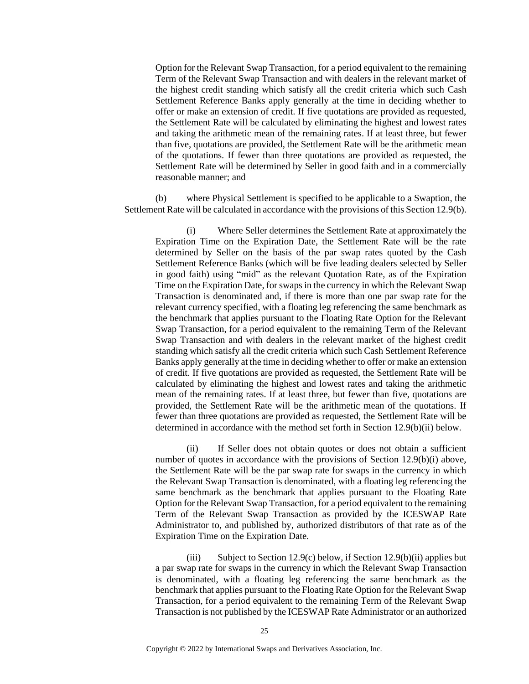Option for the Relevant Swap Transaction, for a period equivalent to the remaining Term of the Relevant Swap Transaction and with dealers in the relevant market of the highest credit standing which satisfy all the credit criteria which such Cash Settlement Reference Banks apply generally at the time in deciding whether to offer or make an extension of credit. If five quotations are provided as requested, the Settlement Rate will be calculated by eliminating the highest and lowest rates and taking the arithmetic mean of the remaining rates. If at least three, but fewer than five, quotations are provided, the Settlement Rate will be the arithmetic mean of the quotations. If fewer than three quotations are provided as requested, the Settlement Rate will be determined by Seller in good faith and in a commercially reasonable manner; and

(b) where Physical Settlement is specified to be applicable to a Swaption, the Settlement Rate will be calculated in accordance with the provisions of this Section 12.9(b).

(i) Where Seller determines the Settlement Rate at approximately the Expiration Time on the Expiration Date, the Settlement Rate will be the rate determined by Seller on the basis of the par swap rates quoted by the Cash Settlement Reference Banks (which will be five leading dealers selected by Seller in good faith) using "mid" as the relevant Quotation Rate, as of the Expiration Time on the Expiration Date, for swaps in the currency in which the Relevant Swap Transaction is denominated and, if there is more than one par swap rate for the relevant currency specified, with a floating leg referencing the same benchmark as the benchmark that applies pursuant to the Floating Rate Option for the Relevant Swap Transaction, for a period equivalent to the remaining Term of the Relevant Swap Transaction and with dealers in the relevant market of the highest credit standing which satisfy all the credit criteria which such Cash Settlement Reference Banks apply generally at the time in deciding whether to offer or make an extension of credit. If five quotations are provided as requested, the Settlement Rate will be calculated by eliminating the highest and lowest rates and taking the arithmetic mean of the remaining rates. If at least three, but fewer than five, quotations are provided, the Settlement Rate will be the arithmetic mean of the quotations. If fewer than three quotations are provided as requested, the Settlement Rate will be determined in accordance with the method set forth in Section 12.9(b)(ii) below.

(ii) If Seller does not obtain quotes or does not obtain a sufficient number of quotes in accordance with the provisions of Section 12.9(b)(i) above, the Settlement Rate will be the par swap rate for swaps in the currency in which the Relevant Swap Transaction is denominated, with a floating leg referencing the same benchmark as the benchmark that applies pursuant to the Floating Rate Option for the Relevant Swap Transaction, for a period equivalent to the remaining Term of the Relevant Swap Transaction as provided by the ICESWAP Rate Administrator to, and published by, authorized distributors of that rate as of the Expiration Time on the Expiration Date.

(iii) Subject to Section 12.9(c) below, if Section 12.9(b)(ii) applies but a par swap rate for swaps in the currency in which the Relevant Swap Transaction is denominated, with a floating leg referencing the same benchmark as the benchmark that applies pursuant to the Floating Rate Option for the Relevant Swap Transaction, for a period equivalent to the remaining Term of the Relevant Swap Transaction is not published by the ICESWAP Rate Administrator or an authorized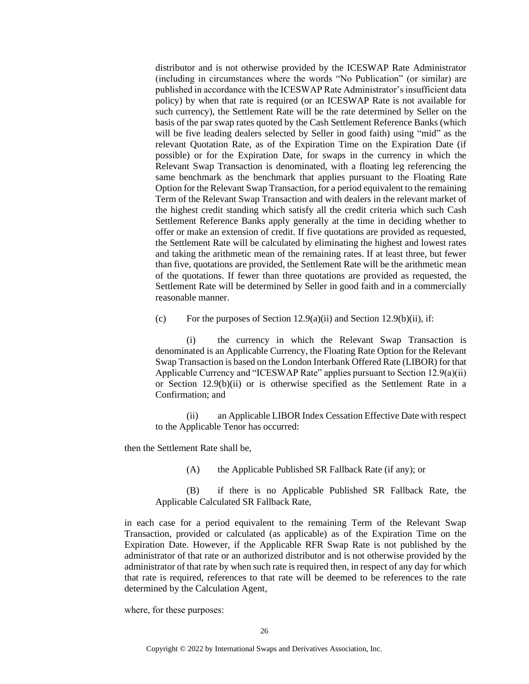distributor and is not otherwise provided by the ICESWAP Rate Administrator (including in circumstances where the words "No Publication" (or similar) are published in accordance with the ICESWAP Rate Administrator's insufficient data policy) by when that rate is required (or an ICESWAP Rate is not available for such currency), the Settlement Rate will be the rate determined by Seller on the basis of the par swap rates quoted by the Cash Settlement Reference Banks (which will be five leading dealers selected by Seller in good faith) using "mid" as the relevant Quotation Rate, as of the Expiration Time on the Expiration Date (if possible) or for the Expiration Date, for swaps in the currency in which the Relevant Swap Transaction is denominated, with a floating leg referencing the same benchmark as the benchmark that applies pursuant to the Floating Rate Option for the Relevant Swap Transaction, for a period equivalent to the remaining Term of the Relevant Swap Transaction and with dealers in the relevant market of the highest credit standing which satisfy all the credit criteria which such Cash Settlement Reference Banks apply generally at the time in deciding whether to offer or make an extension of credit. If five quotations are provided as requested, the Settlement Rate will be calculated by eliminating the highest and lowest rates and taking the arithmetic mean of the remaining rates. If at least three, but fewer than five, quotations are provided, the Settlement Rate will be the arithmetic mean of the quotations. If fewer than three quotations are provided as requested, the Settlement Rate will be determined by Seller in good faith and in a commercially reasonable manner.

(c) For the purposes of Section  $12.9(a)(ii)$  and Section  $12.9(b)(ii)$ , if:

(i) the currency in which the Relevant Swap Transaction is denominated is an Applicable Currency, the Floating Rate Option for the Relevant Swap Transaction is based on the London Interbank Offered Rate (LIBOR) for that Applicable Currency and "ICESWAP Rate" applies pursuant to Section 12.9(a)(ii) or Section 12.9(b)(ii) or is otherwise specified as the Settlement Rate in a Confirmation; and

(ii) an Applicable LIBOR Index Cessation Effective Date with respect to the Applicable Tenor has occurred:

then the Settlement Rate shall be,

(A) the Applicable Published SR Fallback Rate (if any); or

(B) if there is no Applicable Published SR Fallback Rate, the Applicable Calculated SR Fallback Rate,

in each case for a period equivalent to the remaining Term of the Relevant Swap Transaction, provided or calculated (as applicable) as of the Expiration Time on the Expiration Date. However, if the Applicable RFR Swap Rate is not published by the administrator of that rate or an authorized distributor and is not otherwise provided by the administrator of that rate by when such rate is required then, in respect of any day for which that rate is required, references to that rate will be deemed to be references to the rate determined by the Calculation Agent,

where, for these purposes: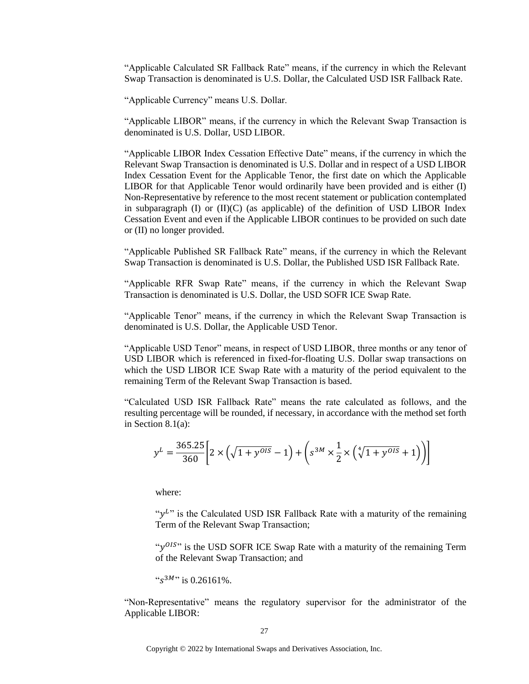"Applicable Calculated SR Fallback Rate" means, if the currency in which the Relevant Swap Transaction is denominated is U.S. Dollar, the Calculated USD ISR Fallback Rate.

"Applicable Currency" means U.S. Dollar.

"Applicable LIBOR" means, if the currency in which the Relevant Swap Transaction is denominated is U.S. Dollar, USD LIBOR.

"Applicable LIBOR Index Cessation Effective Date" means, if the currency in which the Relevant Swap Transaction is denominated is U.S. Dollar and in respect of a USD LIBOR Index Cessation Event for the Applicable Tenor, the first date on which the Applicable LIBOR for that Applicable Tenor would ordinarily have been provided and is either (I) Non-Representative by reference to the most recent statement or publication contemplated in subparagraph  $(I)$  or  $(II)(C)$  (as applicable) of the definition of USD LIBOR Index Cessation Event and even if the Applicable LIBOR continues to be provided on such date or (II) no longer provided.

"Applicable Published SR Fallback Rate" means, if the currency in which the Relevant Swap Transaction is denominated is U.S. Dollar, the Published USD ISR Fallback Rate.

"Applicable RFR Swap Rate" means, if the currency in which the Relevant Swap Transaction is denominated is U.S. Dollar, the USD SOFR ICE Swap Rate.

"Applicable Tenor" means, if the currency in which the Relevant Swap Transaction is denominated is U.S. Dollar, the Applicable USD Tenor.

"Applicable USD Tenor" means, in respect of USD LIBOR, three months or any tenor of USD LIBOR which is referenced in fixed-for-floating U.S. Dollar swap transactions on which the USD LIBOR ICE Swap Rate with a maturity of the period equivalent to the remaining Term of the Relevant Swap Transaction is based.

"Calculated USD ISR Fallback Rate" means the rate calculated as follows, and the resulting percentage will be rounded, if necessary, in accordance with the method set forth in Section 8.1(a):

$$
y^{L} = \frac{365.25}{360} \left[ 2 \times \left( \sqrt{1 + y^{OIS}} - 1 \right) + \left( s^{3M} \times \frac{1}{2} \times \left( \sqrt[4]{1 + y^{OIS}} + 1 \right) \right) \right]
$$

where:

" $y<sup>L</sup>$ " is the Calculated USD ISR Fallback Rate with a maturity of the remaining Term of the Relevant Swap Transaction;

"y<sup>015</sup>" is the USD SOFR ICE Swap Rate with a maturity of the remaining Term of the Relevant Swap Transaction; and

" $s^{3M}$ " is 0.26161%.

"Non-Representative" means the regulatory supervisor for the administrator of the Applicable LIBOR: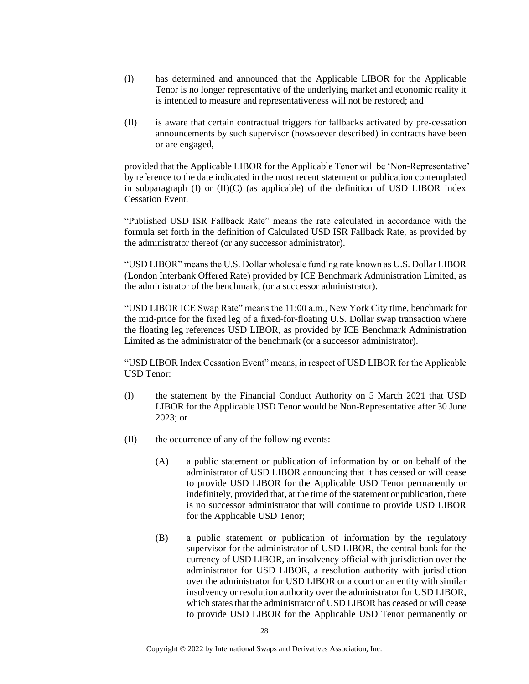- (I) has determined and announced that the Applicable LIBOR for the Applicable Tenor is no longer representative of the underlying market and economic reality it is intended to measure and representativeness will not be restored; and
- (II) is aware that certain contractual triggers for fallbacks activated by pre-cessation announcements by such supervisor (howsoever described) in contracts have been or are engaged,

provided that the Applicable LIBOR for the Applicable Tenor will be 'Non-Representative' by reference to the date indicated in the most recent statement or publication contemplated in subparagraph (I) or (II)(C) (as applicable) of the definition of USD LIBOR Index Cessation Event.

"Published USD ISR Fallback Rate" means the rate calculated in accordance with the formula set forth in the definition of Calculated USD ISR Fallback Rate, as provided by the administrator thereof (or any successor administrator).

"USD LIBOR" means the U.S. Dollar wholesale funding rate known as U.S. Dollar LIBOR (London Interbank Offered Rate) provided by ICE Benchmark Administration Limited, as the administrator of the benchmark, (or a successor administrator).

"USD LIBOR ICE Swap Rate" means the 11:00 a.m., New York City time, benchmark for the mid-price for the fixed leg of a fixed-for-floating U.S. Dollar swap transaction where the floating leg references USD LIBOR, as provided by ICE Benchmark Administration Limited as the administrator of the benchmark (or a successor administrator).

"USD LIBOR Index Cessation Event" means, in respect of USD LIBOR for the Applicable USD Tenor:

- (I) the statement by the Financial Conduct Authority on 5 March 2021 that USD LIBOR for the Applicable USD Tenor would be Non-Representative after 30 June 2023; or
- (II) the occurrence of any of the following events:
	- (A) a public statement or publication of information by or on behalf of the administrator of USD LIBOR announcing that it has ceased or will cease to provide USD LIBOR for the Applicable USD Tenor permanently or indefinitely, provided that, at the time of the statement or publication, there is no successor administrator that will continue to provide USD LIBOR for the Applicable USD Tenor;
	- (B) a public statement or publication of information by the regulatory supervisor for the administrator of USD LIBOR, the central bank for the currency of USD LIBOR, an insolvency official with jurisdiction over the administrator for USD LIBOR, a resolution authority with jurisdiction over the administrator for USD LIBOR or a court or an entity with similar insolvency or resolution authority over the administrator for USD LIBOR, which states that the administrator of USD LIBOR has ceased or will cease to provide USD LIBOR for the Applicable USD Tenor permanently or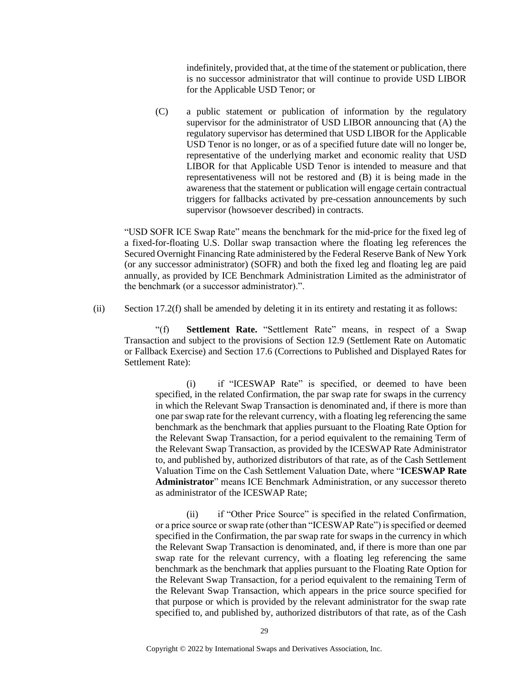indefinitely, provided that, at the time of the statement or publication, there is no successor administrator that will continue to provide USD LIBOR for the Applicable USD Tenor; or

(C) a public statement or publication of information by the regulatory supervisor for the administrator of USD LIBOR announcing that (A) the regulatory supervisor has determined that USD LIBOR for the Applicable USD Tenor is no longer, or as of a specified future date will no longer be, representative of the underlying market and economic reality that USD LIBOR for that Applicable USD Tenor is intended to measure and that representativeness will not be restored and (B) it is being made in the awareness that the statement or publication will engage certain contractual triggers for fallbacks activated by pre-cessation announcements by such supervisor (howsoever described) in contracts.

"USD SOFR ICE Swap Rate" means the benchmark for the mid-price for the fixed leg of a fixed-for-floating U.S. Dollar swap transaction where the floating leg references the Secured Overnight Financing Rate administered by the Federal Reserve Bank of New York (or any successor administrator) (SOFR) and both the fixed leg and floating leg are paid annually, as provided by ICE Benchmark Administration Limited as the administrator of the benchmark (or a successor administrator).".

(ii) Section 17.2(f) shall be amended by deleting it in its entirety and restating it as follows:

"(f) **Settlement Rate.** "Settlement Rate" means, in respect of a Swap Transaction and subject to the provisions of Section 12.9 (Settlement Rate on Automatic or Fallback Exercise) and Section 17.6 (Corrections to Published and Displayed Rates for Settlement Rate):

(i) if "ICESWAP Rate" is specified, or deemed to have been specified, in the related Confirmation, the par swap rate for swaps in the currency in which the Relevant Swap Transaction is denominated and, if there is more than one par swap rate for the relevant currency, with a floating leg referencing the same benchmark as the benchmark that applies pursuant to the Floating Rate Option for the Relevant Swap Transaction, for a period equivalent to the remaining Term of the Relevant Swap Transaction, as provided by the ICESWAP Rate Administrator to, and published by, authorized distributors of that rate, as of the Cash Settlement Valuation Time on the Cash Settlement Valuation Date, where "**ICESWAP Rate Administrator**" means ICE Benchmark Administration, or any successor thereto as administrator of the ICESWAP Rate;

(ii) if "Other Price Source" is specified in the related Confirmation, or a price source or swap rate (other than "ICESWAP Rate") is specified or deemed specified in the Confirmation, the par swap rate for swaps in the currency in which the Relevant Swap Transaction is denominated, and, if there is more than one par swap rate for the relevant currency, with a floating leg referencing the same benchmark as the benchmark that applies pursuant to the Floating Rate Option for the Relevant Swap Transaction, for a period equivalent to the remaining Term of the Relevant Swap Transaction, which appears in the price source specified for that purpose or which is provided by the relevant administrator for the swap rate specified to, and published by, authorized distributors of that rate, as of the Cash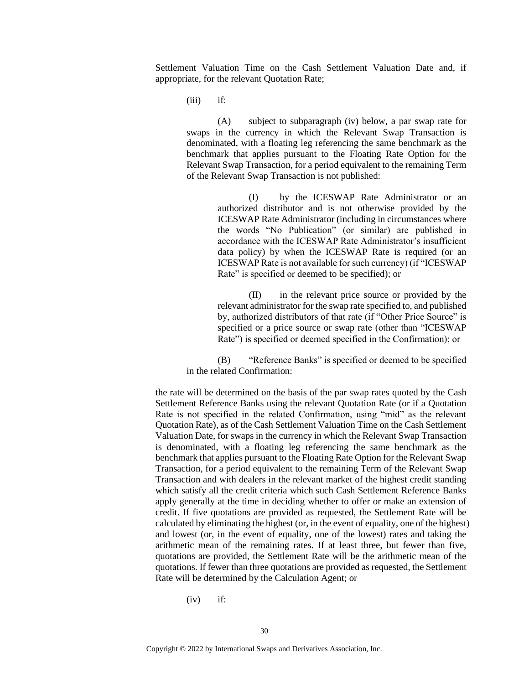Settlement Valuation Time on the Cash Settlement Valuation Date and, if appropriate, for the relevant Quotation Rate;

 $(iii)$  if:

(A) subject to subparagraph (iv) below, a par swap rate for swaps in the currency in which the Relevant Swap Transaction is denominated, with a floating leg referencing the same benchmark as the benchmark that applies pursuant to the Floating Rate Option for the Relevant Swap Transaction, for a period equivalent to the remaining Term of the Relevant Swap Transaction is not published:

> (I) by the ICESWAP Rate Administrator or an authorized distributor and is not otherwise provided by the ICESWAP Rate Administrator (including in circumstances where the words "No Publication" (or similar) are published in accordance with the ICESWAP Rate Administrator's insufficient data policy) by when the ICESWAP Rate is required (or an ICESWAP Rate is not available for such currency) (if "ICESWAP Rate" is specified or deemed to be specified); or

> (II) in the relevant price source or provided by the relevant administrator for the swap rate specified to, and published by, authorized distributors of that rate (if "Other Price Source" is specified or a price source or swap rate (other than "ICESWAP Rate") is specified or deemed specified in the Confirmation); or

(B) "Reference Banks" is specified or deemed to be specified in the related Confirmation:

the rate will be determined on the basis of the par swap rates quoted by the Cash Settlement Reference Banks using the relevant Quotation Rate (or if a Quotation Rate is not specified in the related Confirmation, using "mid" as the relevant Quotation Rate), as of the Cash Settlement Valuation Time on the Cash Settlement Valuation Date, for swaps in the currency in which the Relevant Swap Transaction is denominated, with a floating leg referencing the same benchmark as the benchmark that applies pursuant to the Floating Rate Option for the Relevant Swap Transaction, for a period equivalent to the remaining Term of the Relevant Swap Transaction and with dealers in the relevant market of the highest credit standing which satisfy all the credit criteria which such Cash Settlement Reference Banks apply generally at the time in deciding whether to offer or make an extension of credit. If five quotations are provided as requested, the Settlement Rate will be calculated by eliminating the highest (or, in the event of equality, one of the highest) and lowest (or, in the event of equality, one of the lowest) rates and taking the arithmetic mean of the remaining rates. If at least three, but fewer than five, quotations are provided, the Settlement Rate will be the arithmetic mean of the quotations. If fewer than three quotations are provided as requested, the Settlement Rate will be determined by the Calculation Agent; or

 $(iv)$  if: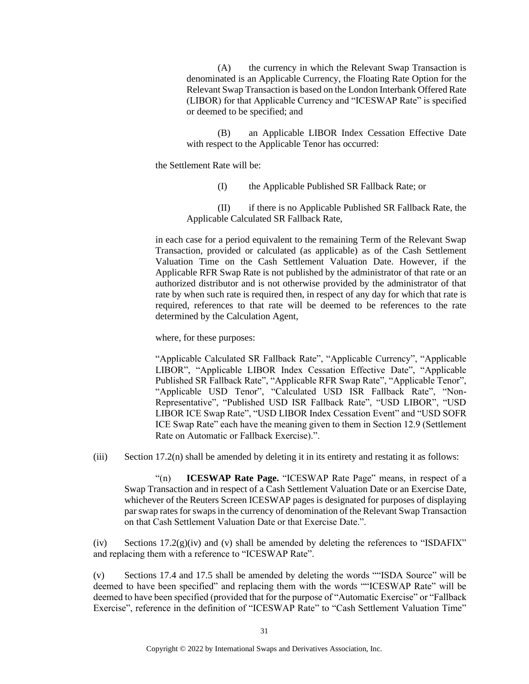(A) the currency in which the Relevant Swap Transaction is denominated is an Applicable Currency, the Floating Rate Option for the Relevant Swap Transaction is based on the London Interbank Offered Rate (LIBOR) for that Applicable Currency and "ICESWAP Rate" is specified or deemed to be specified; and

(B) an Applicable LIBOR Index Cessation Effective Date with respect to the Applicable Tenor has occurred:

the Settlement Rate will be:

(I) the Applicable Published SR Fallback Rate; or

(II) if there is no Applicable Published SR Fallback Rate, the Applicable Calculated SR Fallback Rate,

in each case for a period equivalent to the remaining Term of the Relevant Swap Transaction, provided or calculated (as applicable) as of the Cash Settlement Valuation Time on the Cash Settlement Valuation Date. However, if the Applicable RFR Swap Rate is not published by the administrator of that rate or an authorized distributor and is not otherwise provided by the administrator of that rate by when such rate is required then, in respect of any day for which that rate is required, references to that rate will be deemed to be references to the rate determined by the Calculation Agent,

where, for these purposes:

"Applicable Calculated SR Fallback Rate", "Applicable Currency", "Applicable LIBOR", "Applicable LIBOR Index Cessation Effective Date", "Applicable Published SR Fallback Rate", "Applicable RFR Swap Rate", "Applicable Tenor", "Applicable USD Tenor", "Calculated USD ISR Fallback Rate", "Non-Representative", "Published USD ISR Fallback Rate", "USD LIBOR", "USD LIBOR ICE Swap Rate", "USD LIBOR Index Cessation Event" and "USD SOFR ICE Swap Rate" each have the meaning given to them in Section 12.9 (Settlement Rate on Automatic or Fallback Exercise).".

(iii) Section 17.2(n) shall be amended by deleting it in its entirety and restating it as follows:

"(n) **ICESWAP Rate Page.** "ICESWAP Rate Page" means, in respect of a Swap Transaction and in respect of a Cash Settlement Valuation Date or an Exercise Date, whichever of the Reuters Screen ICESWAP pages is designated for purposes of displaying par swap rates for swaps in the currency of denomination of the Relevant Swap Transaction on that Cash Settlement Valuation Date or that Exercise Date.".

(iv) Sections  $17.2(g)(iv)$  and (v) shall be amended by deleting the references to "ISDAFIX" and replacing them with a reference to "ICESWAP Rate".

(v) Sections 17.4 and 17.5 shall be amended by deleting the words ""ISDA Source" will be deemed to have been specified" and replacing them with the words ""ICESWAP Rate" will be deemed to have been specified (provided that for the purpose of "Automatic Exercise" or "Fallback Exercise", reference in the definition of "ICESWAP Rate" to "Cash Settlement Valuation Time"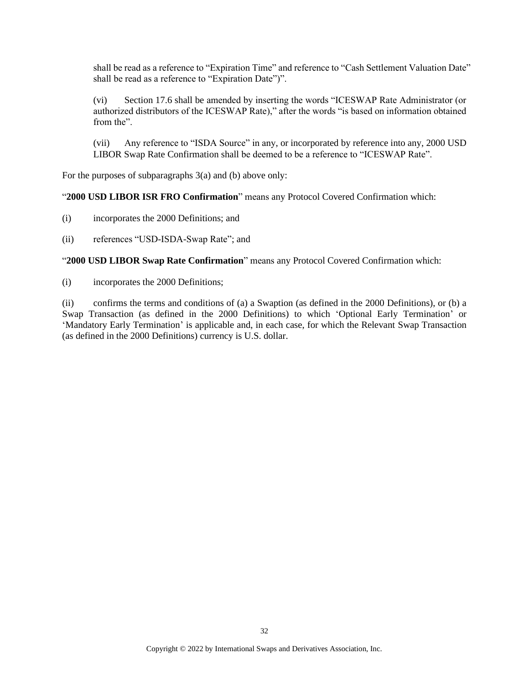shall be read as a reference to "Expiration Time" and reference to "Cash Settlement Valuation Date" shall be read as a reference to "Expiration Date")".

(vi) Section 17.6 shall be amended by inserting the words "ICESWAP Rate Administrator (or authorized distributors of the ICESWAP Rate)," after the words "is based on information obtained from the".

(vii) Any reference to "ISDA Source" in any, or incorporated by reference into any, 2000 USD LIBOR Swap Rate Confirmation shall be deemed to be a reference to "ICESWAP Rate".

For the purposes of subparagraphs 3(a) and (b) above only:

#### "**2000 USD LIBOR ISR FRO Confirmation**" means any Protocol Covered Confirmation which:

- (i) incorporates the 2000 Definitions; and
- (ii) references "USD-ISDA-Swap Rate"; and

"**2000 USD LIBOR Swap Rate Confirmation**" means any Protocol Covered Confirmation which:

(i) incorporates the 2000 Definitions;

(ii) confirms the terms and conditions of (a) a Swaption (as defined in the 2000 Definitions), or (b) a Swap Transaction (as defined in the 2000 Definitions) to which 'Optional Early Termination' or 'Mandatory Early Termination' is applicable and, in each case, for which the Relevant Swap Transaction (as defined in the 2000 Definitions) currency is U.S. dollar.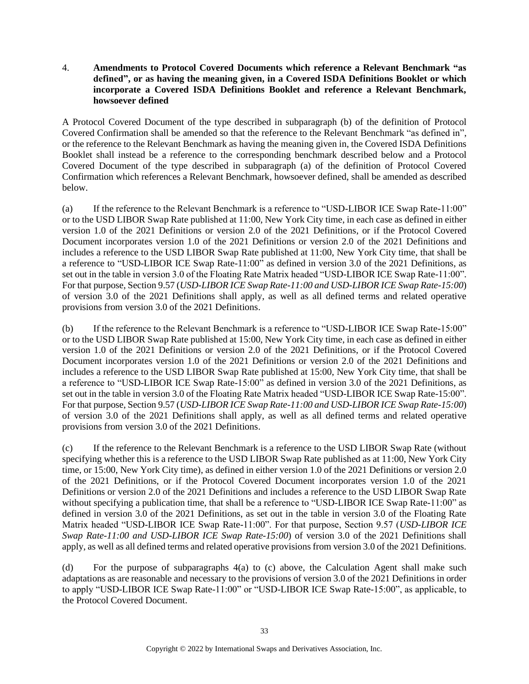## 4. **Amendments to Protocol Covered Documents which reference a Relevant Benchmark "as defined", or as having the meaning given, in a Covered ISDA Definitions Booklet or which incorporate a Covered ISDA Definitions Booklet and reference a Relevant Benchmark, howsoever defined**

A Protocol Covered Document of the type described in subparagraph (b) of the definition of Protocol Covered Confirmation shall be amended so that the reference to the Relevant Benchmark "as defined in", or the reference to the Relevant Benchmark as having the meaning given in, the Covered ISDA Definitions Booklet shall instead be a reference to the corresponding benchmark described below and a Protocol Covered Document of the type described in subparagraph (a) of the definition of Protocol Covered Confirmation which references a Relevant Benchmark, howsoever defined, shall be amended as described below.

(a) If the reference to the Relevant Benchmark is a reference to "USD-LIBOR ICE Swap Rate-11:00" or to the USD LIBOR Swap Rate published at 11:00, New York City time, in each case as defined in either version 1.0 of the 2021 Definitions or version 2.0 of the 2021 Definitions, or if the Protocol Covered Document incorporates version 1.0 of the 2021 Definitions or version 2.0 of the 2021 Definitions and includes a reference to the USD LIBOR Swap Rate published at 11:00, New York City time, that shall be a reference to "USD-LIBOR ICE Swap Rate-11:00" as defined in version 3.0 of the 2021 Definitions, as set out in the table in version 3.0 of the Floating Rate Matrix headed "USD-LIBOR ICE Swap Rate-11:00". For that purpose, Section 9.57 (*USD-LIBOR ICE Swap Rate-11:00 and USD-LIBOR ICE Swap Rate-15:00*) of version 3.0 of the 2021 Definitions shall apply, as well as all defined terms and related operative provisions from version 3.0 of the 2021 Definitions.

(b) If the reference to the Relevant Benchmark is a reference to "USD-LIBOR ICE Swap Rate-15:00" or to the USD LIBOR Swap Rate published at 15:00, New York City time, in each case as defined in either version 1.0 of the 2021 Definitions or version 2.0 of the 2021 Definitions, or if the Protocol Covered Document incorporates version 1.0 of the 2021 Definitions or version 2.0 of the 2021 Definitions and includes a reference to the USD LIBOR Swap Rate published at 15:00, New York City time, that shall be a reference to "USD-LIBOR ICE Swap Rate-15:00" as defined in version 3.0 of the 2021 Definitions, as set out in the table in version 3.0 of the Floating Rate Matrix headed "USD-LIBOR ICE Swap Rate-15:00". For that purpose, Section 9.57 (*USD-LIBOR ICE Swap Rate-11:00 and USD-LIBOR ICE Swap Rate-15:00*) of version 3.0 of the 2021 Definitions shall apply, as well as all defined terms and related operative provisions from version 3.0 of the 2021 Definitions.

(c) If the reference to the Relevant Benchmark is a reference to the USD LIBOR Swap Rate (without specifying whether this is a reference to the USD LIBOR Swap Rate published as at 11:00, New York City time, or 15:00, New York City time), as defined in either version 1.0 of the 2021 Definitions or version 2.0 of the 2021 Definitions, or if the Protocol Covered Document incorporates version 1.0 of the 2021 Definitions or version 2.0 of the 2021 Definitions and includes a reference to the USD LIBOR Swap Rate without specifying a publication time, that shall be a reference to "USD-LIBOR ICE Swap Rate-11:00" as defined in version 3.0 of the 2021 Definitions, as set out in the table in version 3.0 of the Floating Rate Matrix headed "USD-LIBOR ICE Swap Rate-11:00". For that purpose, Section 9.57 (*USD-LIBOR ICE Swap Rate-11:00 and USD-LIBOR ICE Swap Rate-15:00*) of version 3.0 of the 2021 Definitions shall apply, as well as all defined terms and related operative provisions from version 3.0 of the 2021 Definitions.

(d) For the purpose of subparagraphs 4(a) to (c) above, the Calculation Agent shall make such adaptations as are reasonable and necessary to the provisions of version 3.0 of the 2021 Definitions in order to apply "USD-LIBOR ICE Swap Rate-11:00" or "USD-LIBOR ICE Swap Rate-15:00", as applicable, to the Protocol Covered Document.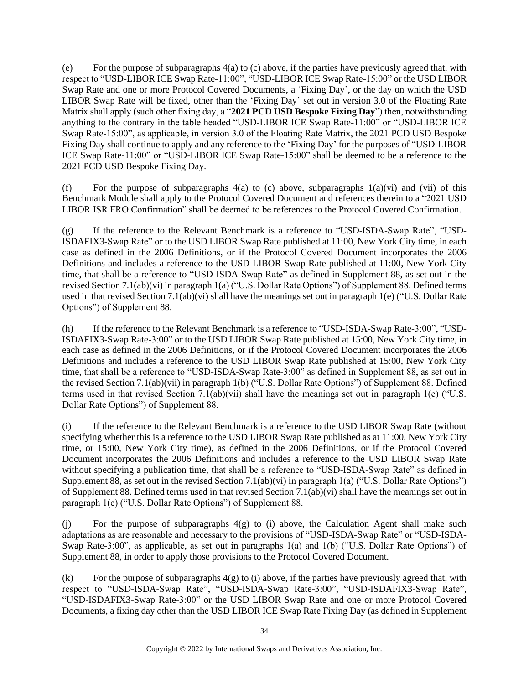(e) For the purpose of subparagraphs 4(a) to (c) above, if the parties have previously agreed that, with respect to "USD-LIBOR ICE Swap Rate-11:00", "USD-LIBOR ICE Swap Rate-15:00" or the USD LIBOR Swap Rate and one or more Protocol Covered Documents, a 'Fixing Day', or the day on which the USD LIBOR Swap Rate will be fixed, other than the 'Fixing Day' set out in version 3.0 of the Floating Rate Matrix shall apply (such other fixing day, a "**2021 PCD USD Bespoke Fixing Day**") then, notwithstanding anything to the contrary in the table headed "USD-LIBOR ICE Swap Rate-11:00" or "USD-LIBOR ICE Swap Rate-15:00", as applicable, in version 3.0 of the Floating Rate Matrix, the 2021 PCD USD Bespoke Fixing Day shall continue to apply and any reference to the 'Fixing Day' for the purposes of "USD-LIBOR ICE Swap Rate-11:00" or "USD-LIBOR ICE Swap Rate-15:00" shall be deemed to be a reference to the 2021 PCD USD Bespoke Fixing Day.

(f) For the purpose of subparagraphs  $4(a)$  to (c) above, subparagraphs  $1(a)(vi)$  and (vii) of this Benchmark Module shall apply to the Protocol Covered Document and references therein to a "2021 USD LIBOR ISR FRO Confirmation" shall be deemed to be references to the Protocol Covered Confirmation.

(g) If the reference to the Relevant Benchmark is a reference to "USD-ISDA-Swap Rate", "USD-ISDAFIX3-Swap Rate" or to the USD LIBOR Swap Rate published at 11:00, New York City time, in each case as defined in the 2006 Definitions, or if the Protocol Covered Document incorporates the 2006 Definitions and includes a reference to the USD LIBOR Swap Rate published at 11:00, New York City time, that shall be a reference to "USD-ISDA-Swap Rate" as defined in Supplement 88, as set out in the revised Section 7.1(ab)(vi) in paragraph 1(a) ("U.S. Dollar Rate Options") of Supplement 88. Defined terms used in that revised Section 7.1(ab)(vi) shall have the meanings set out in paragraph 1(e) ("U.S. Dollar Rate Options") of Supplement 88.

(h) If the reference to the Relevant Benchmark is a reference to "USD-ISDA-Swap Rate-3:00", "USD-ISDAFIX3-Swap Rate-3:00" or to the USD LIBOR Swap Rate published at 15:00, New York City time, in each case as defined in the 2006 Definitions, or if the Protocol Covered Document incorporates the 2006 Definitions and includes a reference to the USD LIBOR Swap Rate published at 15:00, New York City time, that shall be a reference to "USD-ISDA-Swap Rate-3:00" as defined in Supplement 88, as set out in the revised Section 7.1(ab)(vii) in paragraph 1(b) ("U.S. Dollar Rate Options") of Supplement 88. Defined terms used in that revised Section 7.1(ab)(vii) shall have the meanings set out in paragraph 1(e) ("U.S. Dollar Rate Options") of Supplement 88.

(i) If the reference to the Relevant Benchmark is a reference to the USD LIBOR Swap Rate (without specifying whether this is a reference to the USD LIBOR Swap Rate published as at 11:00, New York City time, or 15:00, New York City time), as defined in the 2006 Definitions, or if the Protocol Covered Document incorporates the 2006 Definitions and includes a reference to the USD LIBOR Swap Rate without specifying a publication time, that shall be a reference to "USD-ISDA-Swap Rate" as defined in Supplement 88, as set out in the revised Section 7.1(ab)(vi) in paragraph 1(a) ("U.S. Dollar Rate Options") of Supplement 88. Defined terms used in that revised Section 7.1(ab)(vi) shall have the meanings set out in paragraph 1(e) ("U.S. Dollar Rate Options") of Supplement 88.

(j) For the purpose of subparagraphs 4(g) to (i) above, the Calculation Agent shall make such adaptations as are reasonable and necessary to the provisions of "USD-ISDA-Swap Rate" or "USD-ISDA-Swap Rate-3:00", as applicable, as set out in paragraphs 1(a) and 1(b) ("U.S. Dollar Rate Options") of Supplement 88, in order to apply those provisions to the Protocol Covered Document.

(k) For the purpose of subparagraphs  $4(g)$  to (i) above, if the parties have previously agreed that, with respect to "USD-ISDA-Swap Rate", "USD-ISDA-Swap Rate-3:00", "USD-ISDAFIX3-Swap Rate", "USD-ISDAFIX3-Swap Rate-3:00" or the USD LIBOR Swap Rate and one or more Protocol Covered Documents, a fixing day other than the USD LIBOR ICE Swap Rate Fixing Day (as defined in Supplement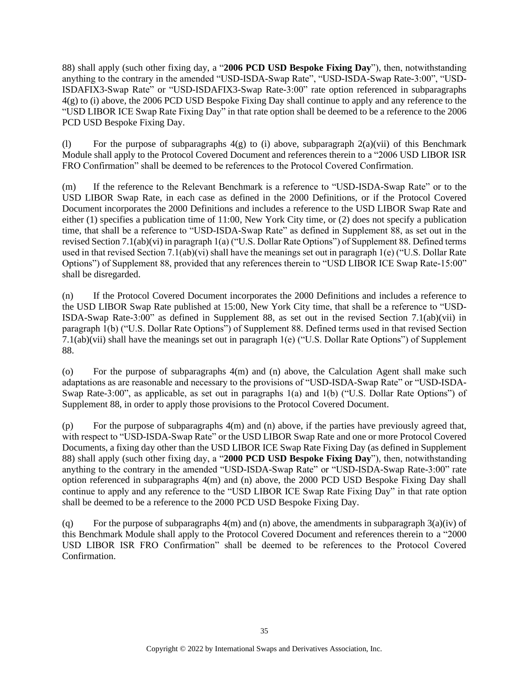88) shall apply (such other fixing day, a "**2006 PCD USD Bespoke Fixing Day**"), then, notwithstanding anything to the contrary in the amended "USD-ISDA-Swap Rate", "USD-ISDA-Swap Rate-3:00", "USD-ISDAFIX3-Swap Rate" or "USD-ISDAFIX3-Swap Rate-3:00" rate option referenced in subparagraphs 4(g) to (i) above, the 2006 PCD USD Bespoke Fixing Day shall continue to apply and any reference to the "USD LIBOR ICE Swap Rate Fixing Day" in that rate option shall be deemed to be a reference to the 2006 PCD USD Bespoke Fixing Day.

(1) For the purpose of subparagraphs  $4(g)$  to (i) above, subparagraph  $2(a)(vi)$  of this Benchmark Module shall apply to the Protocol Covered Document and references therein to a "2006 USD LIBOR ISR FRO Confirmation" shall be deemed to be references to the Protocol Covered Confirmation.

(m) If the reference to the Relevant Benchmark is a reference to "USD-ISDA-Swap Rate" or to the USD LIBOR Swap Rate, in each case as defined in the 2000 Definitions, or if the Protocol Covered Document incorporates the 2000 Definitions and includes a reference to the USD LIBOR Swap Rate and either (1) specifies a publication time of 11:00, New York City time, or (2) does not specify a publication time, that shall be a reference to "USD-ISDA-Swap Rate" as defined in Supplement 88, as set out in the revised Section 7.1(ab)(vi) in paragraph 1(a) ("U.S. Dollar Rate Options") of Supplement 88. Defined terms used in that revised Section 7.1(ab)(vi) shall have the meanings set out in paragraph 1(e) ("U.S. Dollar Rate Options") of Supplement 88, provided that any references therein to "USD LIBOR ICE Swap Rate-15:00" shall be disregarded.

(n) If the Protocol Covered Document incorporates the 2000 Definitions and includes a reference to the USD LIBOR Swap Rate published at 15:00, New York City time, that shall be a reference to "USD-ISDA-Swap Rate-3:00" as defined in Supplement 88, as set out in the revised Section 7.1(ab)(vii) in paragraph 1(b) ("U.S. Dollar Rate Options") of Supplement 88. Defined terms used in that revised Section 7.1(ab)(vii) shall have the meanings set out in paragraph 1(e) ("U.S. Dollar Rate Options") of Supplement 88.

(o) For the purpose of subparagraphs 4(m) and (n) above, the Calculation Agent shall make such adaptations as are reasonable and necessary to the provisions of "USD-ISDA-Swap Rate" or "USD-ISDA-Swap Rate-3:00", as applicable, as set out in paragraphs 1(a) and 1(b) ("U.S. Dollar Rate Options") of Supplement 88, in order to apply those provisions to the Protocol Covered Document.

(p) For the purpose of subparagraphs 4(m) and (n) above, if the parties have previously agreed that, with respect to "USD-ISDA-Swap Rate" or the USD LIBOR Swap Rate and one or more Protocol Covered Documents, a fixing day other than the USD LIBOR ICE Swap Rate Fixing Day (as defined in Supplement 88) shall apply (such other fixing day, a "**2000 PCD USD Bespoke Fixing Day**"), then, notwithstanding anything to the contrary in the amended "USD-ISDA-Swap Rate" or "USD-ISDA-Swap Rate-3:00" rate option referenced in subparagraphs 4(m) and (n) above, the 2000 PCD USD Bespoke Fixing Day shall continue to apply and any reference to the "USD LIBOR ICE Swap Rate Fixing Day" in that rate option shall be deemed to be a reference to the 2000 PCD USD Bespoke Fixing Day.

(q) For the purpose of subparagraphs  $4(m)$  and  $(n)$  above, the amendments in subparagraph  $3(a)(iv)$  of this Benchmark Module shall apply to the Protocol Covered Document and references therein to a "2000 USD LIBOR ISR FRO Confirmation" shall be deemed to be references to the Protocol Covered Confirmation.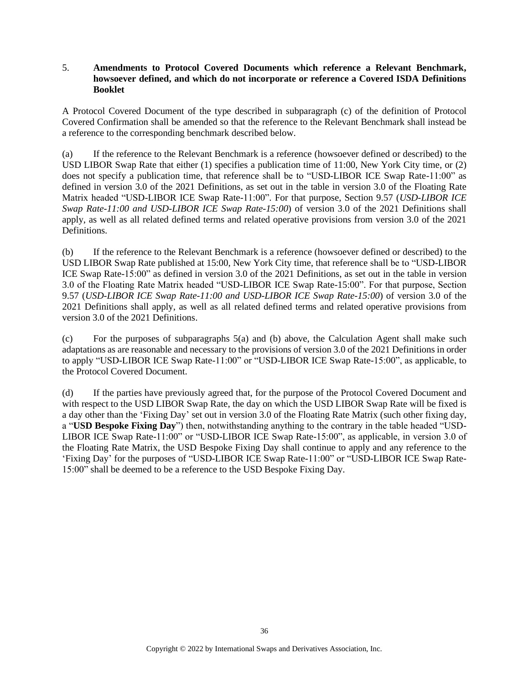## 5. **Amendments to Protocol Covered Documents which reference a Relevant Benchmark, howsoever defined, and which do not incorporate or reference a Covered ISDA Definitions Booklet**

A Protocol Covered Document of the type described in subparagraph (c) of the definition of Protocol Covered Confirmation shall be amended so that the reference to the Relevant Benchmark shall instead be a reference to the corresponding benchmark described below.

(a) If the reference to the Relevant Benchmark is a reference (howsoever defined or described) to the USD LIBOR Swap Rate that either (1) specifies a publication time of 11:00, New York City time, or (2) does not specify a publication time, that reference shall be to "USD-LIBOR ICE Swap Rate-11:00" as defined in version 3.0 of the 2021 Definitions, as set out in the table in version 3.0 of the Floating Rate Matrix headed "USD-LIBOR ICE Swap Rate-11:00". For that purpose, Section 9.57 (*USD-LIBOR ICE Swap Rate-11:00 and USD-LIBOR ICE Swap Rate-15:00*) of version 3.0 of the 2021 Definitions shall apply, as well as all related defined terms and related operative provisions from version 3.0 of the 2021 Definitions.

(b) If the reference to the Relevant Benchmark is a reference (howsoever defined or described) to the USD LIBOR Swap Rate published at 15:00, New York City time, that reference shall be to "USD-LIBOR ICE Swap Rate-15:00" as defined in version 3.0 of the 2021 Definitions, as set out in the table in version 3.0 of the Floating Rate Matrix headed "USD-LIBOR ICE Swap Rate-15:00". For that purpose, Section 9.57 (*USD-LIBOR ICE Swap Rate-11:00 and USD-LIBOR ICE Swap Rate-15:00*) of version 3.0 of the 2021 Definitions shall apply, as well as all related defined terms and related operative provisions from version 3.0 of the 2021 Definitions.

(c) For the purposes of subparagraphs 5(a) and (b) above, the Calculation Agent shall make such adaptations as are reasonable and necessary to the provisions of version 3.0 of the 2021 Definitions in order to apply "USD-LIBOR ICE Swap Rate-11:00" or "USD-LIBOR ICE Swap Rate-15:00", as applicable, to the Protocol Covered Document.

(d) If the parties have previously agreed that, for the purpose of the Protocol Covered Document and with respect to the USD LIBOR Swap Rate, the day on which the USD LIBOR Swap Rate will be fixed is a day other than the 'Fixing Day' set out in version 3.0 of the Floating Rate Matrix (such other fixing day, a "**USD Bespoke Fixing Day**") then, notwithstanding anything to the contrary in the table headed "USD-LIBOR ICE Swap Rate-11:00" or "USD-LIBOR ICE Swap Rate-15:00", as applicable, in version 3.0 of the Floating Rate Matrix, the USD Bespoke Fixing Day shall continue to apply and any reference to the 'Fixing Day' for the purposes of "USD-LIBOR ICE Swap Rate-11:00" or "USD-LIBOR ICE Swap Rate-15:00" shall be deemed to be a reference to the USD Bespoke Fixing Day.